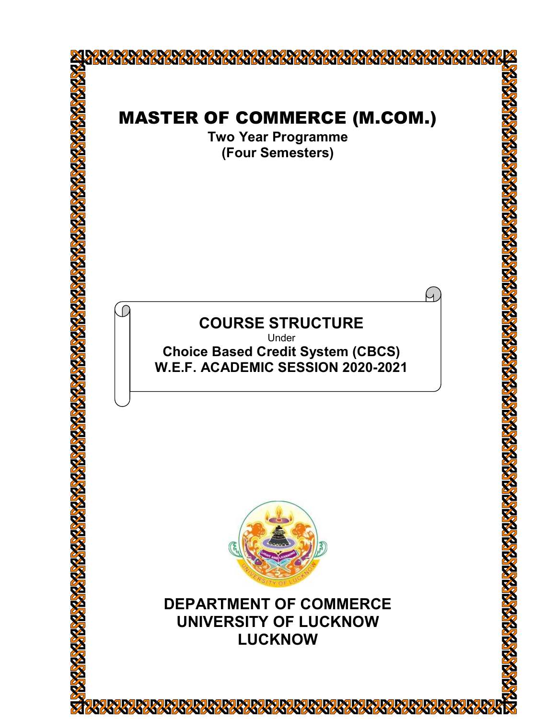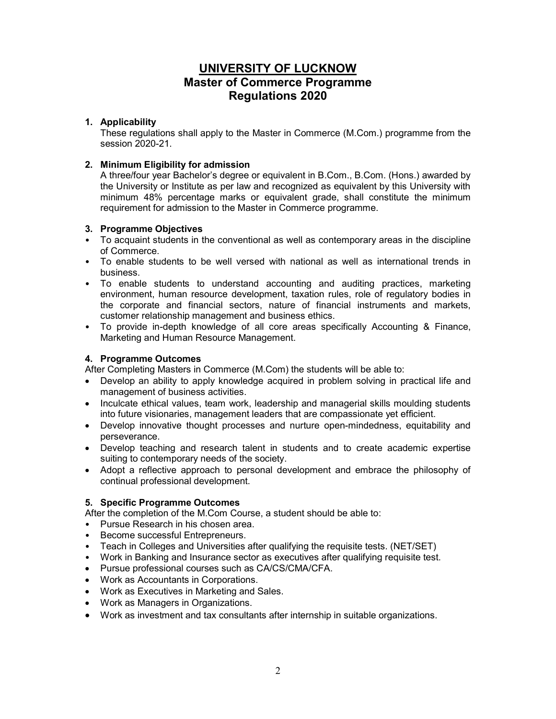# UNIVERSITY OF LUCKNOW Master of Commerce Programme Regulations 2020

## 1. Applicability

These regulations shall apply to the Master in Commerce (M.Com.) programme from the session 2020-21.

# 2. Minimum Eligibility for admission

A three/four year Bachelor's degree or equivalent in B.Com., B.Com. (Hons.) awarded by the University or Institute as per law and recognized as equivalent by this University with minimum 48% percentage marks or equivalent grade, shall constitute the minimum requirement for admission to the Master in Commerce programme.

## 3. Programme Objectives

- To acquaint students in the conventional as well as contemporary areas in the discipline of Commerce.
- To enable students to be well versed with national as well as international trends in business.
- To enable students to understand accounting and auditing practices, marketing environment, human resource development, taxation rules, role of regulatory bodies in the corporate and financial sectors, nature of financial instruments and markets, customer relationship management and business ethics.
- To provide in-depth knowledge of all core areas specifically Accounting & Finance, Marketing and Human Resource Management.

## 4. Programme Outcomes

After Completing Masters in Commerce (M.Com) the students will be able to:

- Develop an ability to apply knowledge acquired in problem solving in practical life and management of business activities.
- Inculcate ethical values, team work, leadership and managerial skills moulding students into future visionaries, management leaders that are compassionate yet efficient.
- Develop innovative thought processes and nurture open-mindedness, equitability and perseverance.
- Develop teaching and research talent in students and to create academic expertise suiting to contemporary needs of the society.
- Adopt a reflective approach to personal development and embrace the philosophy of continual professional development.

# 5. Specific Programme Outcomes

After the completion of the M.Com Course, a student should be able to:

- Pursue Research in his chosen area.
- Become successful Entrepreneurs.
- Teach in Colleges and Universities after qualifying the requisite tests. (NET/SET)
- Work in Banking and Insurance sector as executives after qualifying requisite test.
- Pursue professional courses such as CA/CS/CMA/CFA.
- Work as Accountants in Corporations.
- Work as Executives in Marketing and Sales.
- Work as Managers in Organizations.
- Work as investment and tax consultants after internship in suitable organizations.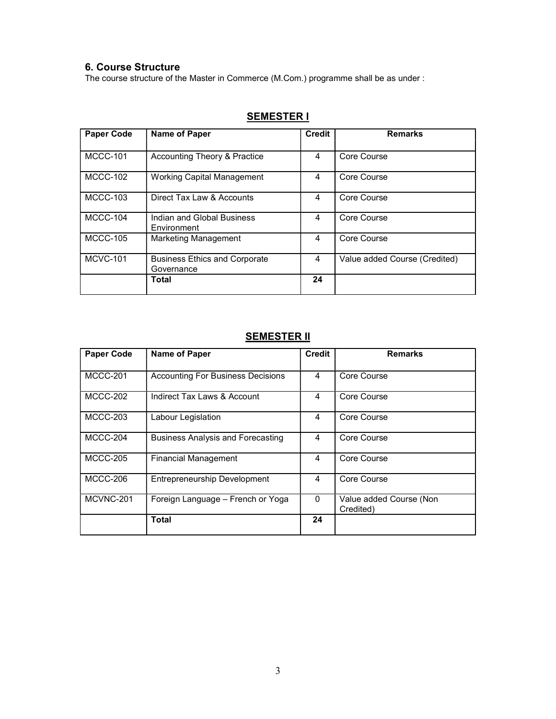# 6. Course Structure

The course structure of the Master in Commerce (M.Com.) programme shall be as under :

| <b>Paper Code</b> | <b>Name of Paper</b>                               | <b>Credit</b> | <b>Remarks</b>                |
|-------------------|----------------------------------------------------|---------------|-------------------------------|
| <b>MCCC-101</b>   | Accounting Theory & Practice                       | 4             | Core Course                   |
| <b>MCCC-102</b>   | Working Capital Management                         | 4             | Core Course                   |
| MCCC-103          | Direct Tax Law & Accounts                          | 4             | Core Course                   |
| MCCC-104          | Indian and Global Business<br>Environment          | 4             | Core Course                   |
| <b>MCCC-105</b>   | Marketing Management                               | 4             | Core Course                   |
| <b>MCVC-101</b>   | <b>Business Ethics and Corporate</b><br>Governance | 4             | Value added Course (Credited) |
|                   | Total                                              | 24            |                               |

# SEMESTER I

# **SEMESTER II**

| <b>Paper Code</b> | <b>Name of Paper</b>                     | <b>Credit</b> | <b>Remarks</b>                       |
|-------------------|------------------------------------------|---------------|--------------------------------------|
|                   |                                          |               |                                      |
| MCCC-201          | <b>Accounting For Business Decisions</b> | 4             | Core Course                          |
| MCCC-202          | Indirect Tax Laws & Account              | 4             | Core Course                          |
| MCCC-203          | Labour Legislation                       | 4             | Core Course                          |
| MCCC-204          | <b>Business Analysis and Forecasting</b> | 4             | Core Course                          |
| <b>MCCC-205</b>   | Financial Management                     | 4             | Core Course                          |
| MCCC-206          | <b>Entrepreneurship Development</b>      | 4             | Core Course                          |
| MCVNC-201         | Foreign Language - French or Yoga        | $\Omega$      | Value added Course (Non<br>Credited) |
|                   | Total                                    | 24            |                                      |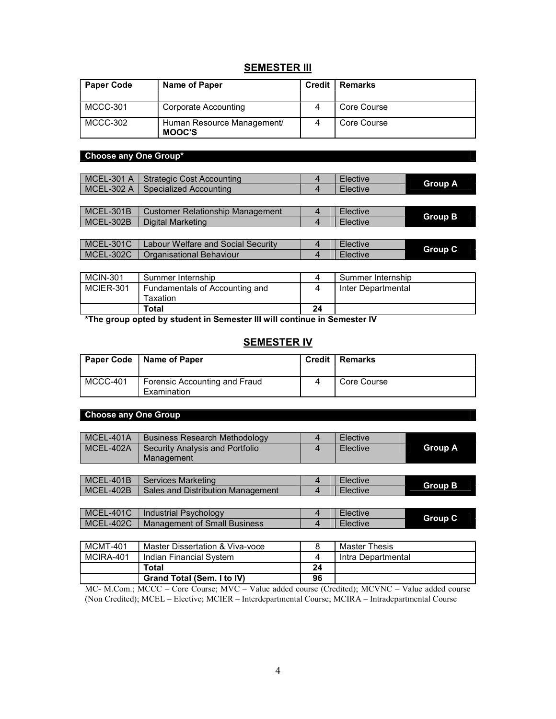# **SEMESTER III**

| <b>Paper Code</b> | Name of Paper                               | Credit   Remarks |
|-------------------|---------------------------------------------|------------------|
| MCCC-301          | Corporate Accounting                        | Core Course      |
| MCCC-302          | Human Resource Management/<br><b>MOOC'S</b> | Core Course      |

# Choose any One Group\*

| MCEL-301 A   Strategic Cost Accounting  | Elective | <b>Group A</b> |
|-----------------------------------------|----------|----------------|
| I MCEL-302 A ∣ Specialized Accounting I | Elective |                |
|                                         |          |                |

| MCEL-301B   | Customer Relationship Management | Elective | <b>Group B</b> |
|-------------|----------------------------------|----------|----------------|
| $MCEL-302B$ | Digital Marketing                | Elective |                |
|             |                                  |          |                |

| MCEL-301C   | Labour Welfare and Social Security | Elective | <b>Group C</b> |
|-------------|------------------------------------|----------|----------------|
| $MCEL-302C$ | <b>Organisational Behaviour</b>    | Elective |                |
|             |                                    |          |                |

| <b>MCIN-301</b> | Summer Internship                           |    | Summer Internship  |
|-----------------|---------------------------------------------|----|--------------------|
| MCIER-301       | Fundamentals of Accounting and<br>Гахаtіоn. |    | Inter Departmental |
|                 | Total                                       | 24 |                    |

\*The group opted by student in Semester III will continue in Semester IV

# **SEMESTER IV**

|          | Paper Code   Name of Paper                   | <b>Credit   Remarks</b> |
|----------|----------------------------------------------|-------------------------|
| MCCC-401 | Forensic Accounting and Fraud<br>Examination | Core Course             |

## Choose any One Group

| MCEL-401A       | <b>Business Research Methodology</b> | 4  | Elective             |                |
|-----------------|--------------------------------------|----|----------------------|----------------|
| MCEL-402A       | Security Analysis and Portfolio      | 4  | Elective             | <b>Group A</b> |
|                 | Management                           |    |                      |                |
|                 |                                      |    |                      |                |
| MCEL-401B       | Services Marketing                   | 4  | <b>Elective</b>      | <b>Group B</b> |
| MCEL-402B       | Sales and Distribution Management    | 4  | Elective             |                |
|                 |                                      |    |                      |                |
| MCEL-401C       | Industrial Psychology                | 4  | Elective             | <b>Group C</b> |
| MCEL-402C       | <b>Management of Small Business</b>  | 4  | Elective             |                |
|                 |                                      |    |                      |                |
| <b>MCMT-401</b> | Master Dissertation & Viva-voce      | 8  | <b>Master Thesis</b> |                |
| MCIRA-401       | Indian Financial System              | 4  | Intra Departmental   |                |
|                 | Total                                | 24 |                      |                |
|                 | Grand Total (Sem. I to IV)           | 96 |                      |                |

MC- M.Com.; MCCC – Core Course; MVC – Value added course (Credited); MCVNC – Value added course (Non Credited); MCEL – Elective; MCIER – Interdepartmental Course; MCIRA – Intradepartmental Course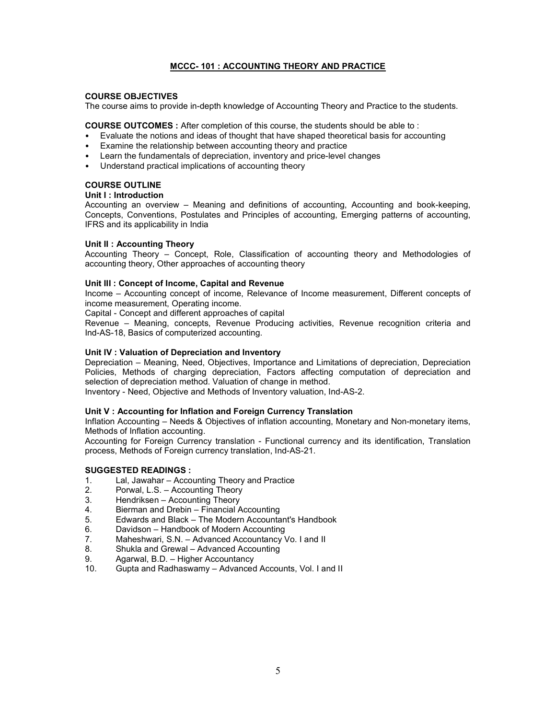## MCCC- 101 : ACCOUNTING THEORY AND PRACTICE

## COURSE OBJECTIVES

The course aims to provide in-depth knowledge of Accounting Theory and Practice to the students.

COURSE OUTCOMES : After completion of this course, the students should be able to :

- Evaluate the notions and ideas of thought that have shaped theoretical basis for accounting
- Examine the relationship between accounting theory and practice
- Learn the fundamentals of depreciation, inventory and price-level changes
- Understand practical implications of accounting theory

## COURSE OUTLINE

## Unit I : Introduction

Accounting an overview – Meaning and definitions of accounting, Accounting and book-keeping, Concepts, Conventions, Postulates and Principles of accounting, Emerging patterns of accounting, IFRS and its applicability in India

## Unit II : Accounting Theory

Accounting Theory – Concept, Role, Classification of accounting theory and Methodologies of accounting theory, Other approaches of accounting theory

## Unit III : Concept of Income, Capital and Revenue

Income – Accounting concept of income, Relevance of Income measurement, Different concepts of income measurement, Operating income.

Capital - Concept and different approaches of capital

Revenue – Meaning, concepts, Revenue Producing activities, Revenue recognition criteria and Ind-AS-18, Basics of computerized accounting.

## Unit IV : Valuation of Depreciation and Inventory

Depreciation – Meaning, Need, Objectives, Importance and Limitations of depreciation, Depreciation Policies, Methods of charging depreciation, Factors affecting computation of depreciation and selection of depreciation method. Valuation of change in method.

Inventory - Need, Objective and Methods of Inventory valuation, Ind-AS-2.

## Unit V : Accounting for Inflation and Foreign Currency Translation

Inflation Accounting – Needs & Objectives of inflation accounting, Monetary and Non-monetary items, Methods of Inflation accounting.

Accounting for Foreign Currency translation - Functional currency and its identification, Translation process, Methods of Foreign currency translation, Ind-AS-21.

- 1. Lal, Jawahar Accounting Theory and Practice<br>2. Porwal. L.S. Accounting Theory
- Porwal, L.S. Accounting Theory
- 3. Hendriksen Accounting Theory
- 4. Bierman and Drebin Financial Accounting
- 5. Edwards and Black The Modern Accountant's Handbook
- 6. Davidson Handbook of Modern Accounting
- 7. Maheshwari, S.N. Advanced Accountancy Vo. I and II
- 8. Shukla and Grewal Advanced Accounting<br>9. Agarwal. B.D. Higher Accountancy
- Agarwal, B.D. Higher Accountancy
- 10. Gupta and Radhaswamy Advanced Accounts, Vol. I and II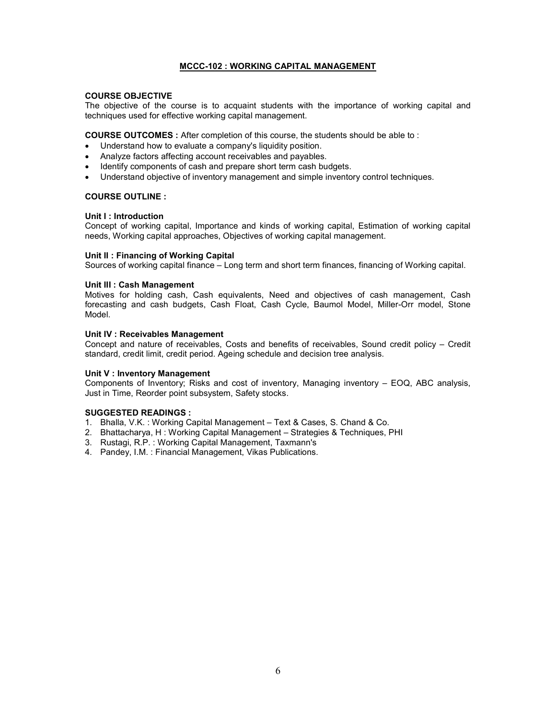## MCCC-102 : WORKING CAPITAL MANAGEMENT

#### COURSE OBJECTIVE

The objective of the course is to acquaint students with the importance of working capital and techniques used for effective working capital management.

COURSE OUTCOMES : After completion of this course, the students should be able to :

- Understand how to evaluate a company's liquidity position.
- Analyze factors affecting account receivables and payables.
- Identify components of cash and prepare short term cash budgets.
- Understand objective of inventory management and simple inventory control techniques.

## COURSE OUTLINE :

## Unit I : Introduction

Concept of working capital, Importance and kinds of working capital, Estimation of working capital needs, Working capital approaches, Objectives of working capital management.

## Unit II : Financing of Working Capital

Sources of working capital finance – Long term and short term finances, financing of Working capital.

## Unit III : Cash Management

Motives for holding cash, Cash equivalents, Need and objectives of cash management, Cash forecasting and cash budgets, Cash Float, Cash Cycle, Baumol Model, Miller-Orr model, Stone Model.

## Unit IV : Receivables Management

Concept and nature of receivables, Costs and benefits of receivables, Sound credit policy – Credit standard, credit limit, credit period. Ageing schedule and decision tree analysis.

## Unit V : Inventory Management

Components of Inventory; Risks and cost of inventory, Managing inventory – EOQ, ABC analysis, Just in Time, Reorder point subsystem, Safety stocks.

- 1. Bhalla, V.K. : Working Capital Management Text & Cases, S. Chand & Co.
- 2. Bhattacharya, H : Working Capital Management Strategies & Techniques, PHI
- 3. Rustagi, R.P. : Working Capital Management, Taxmann's
- 4. Pandey, I.M. : Financial Management, Vikas Publications.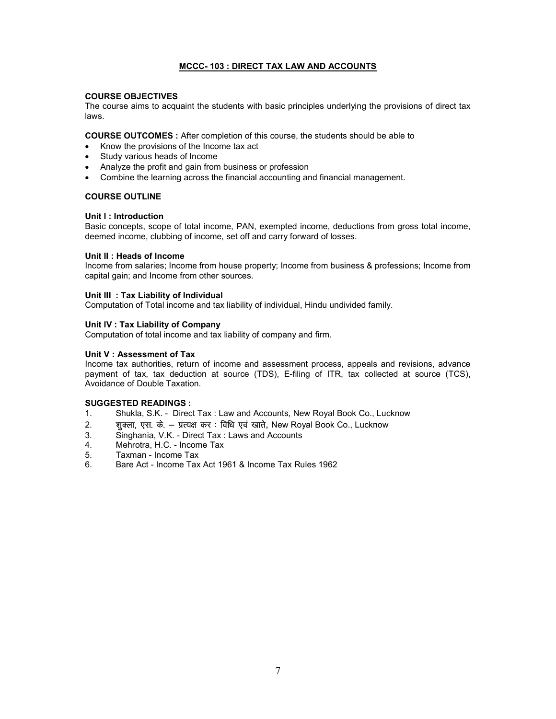## MCCC- 103 : DIRECT TAX LAW AND ACCOUNTS

#### COURSE OBJECTIVES

The course aims to acquaint the students with basic principles underlying the provisions of direct tax laws.

COURSE OUTCOMES : After completion of this course, the students should be able to

- Know the provisions of the Income tax act
- Study various heads of Income
- Analyze the profit and gain from business or profession
- Combine the learning across the financial accounting and financial management.

## COURSE OUTLINE

## Unit I : Introduction

Basic concepts, scope of total income, PAN, exempted income, deductions from gross total income, deemed income, clubbing of income, set off and carry forward of losses.

## Unit II : Heads of Income

Income from salaries; Income from house property; Income from business & professions; Income from capital gain; and Income from other sources.

## Unit III : Tax Liability of Individual

Computation of Total income and tax liability of individual, Hindu undivided family.

## Unit IV : Tax Liability of Company

Computation of total income and tax liability of company and firm.

## Unit V : Assessment of Tax

Income tax authorities, return of income and assessment process, appeals and revisions, advance payment of tax, tax deduction at source (TDS), E-filing of ITR, tax collected at source (TCS), Avoidance of Double Taxation.

- 1. Shukla, S.K. Direct Tax : Law and Accounts, New Royal Book Co., Lucknow
- 2. 'k qDyk] ,l- d s- & i zR;{k dj % fof/k ,o a [kkrs, New Royal Book Co., Lucknow
- 3. Singhania, V.K. Direct Tax : Laws and Accounts
- Mehrotra, H.C. Income Tax
- 5. Taxman Income Tax
- 6. Bare Act Income Tax Act 1961 & Income Tax Rules 1962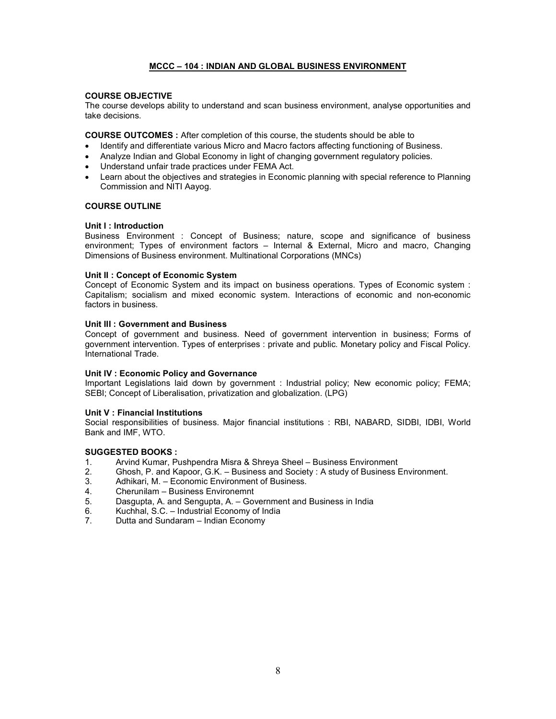## MCCC – 104 : INDIAN AND GLOBAL BUSINESS ENVIRONMENT

## COURSE OBJECTIVE

The course develops ability to understand and scan business environment, analyse opportunities and take decisions.

COURSE OUTCOMES : After completion of this course, the students should be able to

- Identify and differentiate various Micro and Macro factors affecting functioning of Business.
- Analyze Indian and Global Economy in light of changing government regulatory policies.
- Understand unfair trade practices under FEMA Act.
- Learn about the objectives and strategies in Economic planning with special reference to Planning Commission and NITI Aayog.

## COURSE OUTLINE

## Unit I : Introduction

Business Environment : Concept of Business; nature, scope and significance of business environment; Types of environment factors – Internal & External, Micro and macro, Changing Dimensions of Business environment. Multinational Corporations (MNCs)

## Unit II : Concept of Economic System

Concept of Economic System and its impact on business operations. Types of Economic system : Capitalism; socialism and mixed economic system. Interactions of economic and non-economic factors in business.

## Unit III : Government and Business

Concept of government and business. Need of government intervention in business; Forms of government intervention. Types of enterprises : private and public. Monetary policy and Fiscal Policy. International Trade.

## Unit IV : Economic Policy and Governance

Important Legislations laid down by government : Industrial policy; New economic policy; FEMA; SEBI; Concept of Liberalisation, privatization and globalization. (LPG)

## Unit V : Financial Institutions

Social responsibilities of business. Major financial institutions : RBI, NABARD, SIDBI, IDBI, World Bank and IMF, WTO.

## SUGGESTED BOOKS :

- 1. Arvind Kumar, Pushpendra Misra & Shreya Sheel Business Environment
- 2. Ghosh, P. and Kapoor, G.K. Business and Society : A study of Business Environment.
- 3. Adhikari, M. Economic Environment of Business.
- 4. Cherunilam Business Environemnt
- 5. Dasgupta, A. and Sengupta, A. Government and Business in India
- 6. Kuchhal, S.C. Industrial Economy of India
- 7. Dutta and Sundaram Indian Economy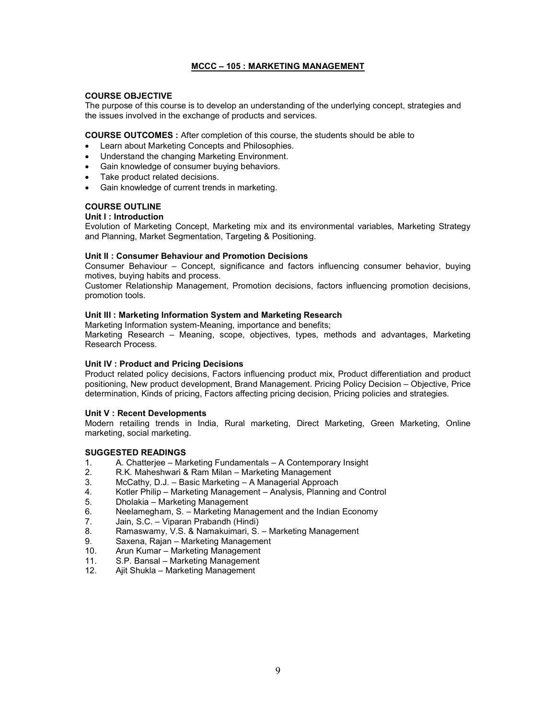## MCCC – 105 : MARKETING MANAGEMENT

## COURSE OBJECTIVE

The purpose of this course is to develop an understanding of the underlying concept, strategies and the issues involved in the exchange of products and services.

COURSE OUTCOMES : After completion of this course, the students should be able to

- Learn about Marketing Concepts and Philosophies.
- Understand the changing Marketing Environment.
- Gain knowledge of consumer buying behaviors.
- Take product related decisions.
- Gain knowledge of current trends in marketing.

## COURSE OUTLINE

## Unit I : Introduction

Evolution of Marketing Concept, Marketing mix and its environmental variables, Marketing Strategy and Planning, Market Segmentation, Targeting & Positioning.

## Unit II : Consumer Behaviour and Promotion Decisions

Consumer Behaviour – Concept, significance and factors influencing consumer behavior, buying motives, buying habits and process.

Customer Relationship Management, Promotion decisions, factors influencing promotion decisions, promotion tools.

## Unit III : Marketing Information System and Marketing Research

Marketing Information system-Meaning, importance and benefits; Marketing Research – Meaning, scope, objectives, types, methods and advantages, Marketing Research Process.

## Unit IV : Product and Pricing Decisions

Product related policy decisions, Factors influencing product mix, Product differentiation and product positioning, New product development, Brand Management. Pricing Policy Decision – Objective, Price determination, Kinds of pricing, Factors affecting pricing decision, Pricing policies and strategies.

## Unit V : Recent Developments

Modern retailing trends in India, Rural marketing, Direct Marketing, Green Marketing, Online marketing, social marketing.

- 1. A. Chatterjee Marketing Fundamentals A Contemporary Insight
- 2. R.K. Maheshwari & Ram Milan Marketing Management
- 3. McCathy, D.J. Basic Marketing A Managerial Approach
- 4. Kotler Philip Marketing Management Analysis, Planning and Control
- 5. Dholakia Marketing Management
- 6. Neelamegham, S. Marketing Management and the Indian Economy<br>7. Jain. S.C. Viparan Prabandh (Hindi)
- 7. Jain, S.C. Viparan Prabandh (Hindi)
- 8. Ramaswamy, V.S. & Namakuimari, S. Marketing Management<br>9. Saxena. Raian Marketing Management
- Saxena, Rajan Marketing Management
- 10. Arun Kumar Marketing Management
- 11. S.P. Bansal Marketing Management
- 12. Ajit Shukla Marketing Management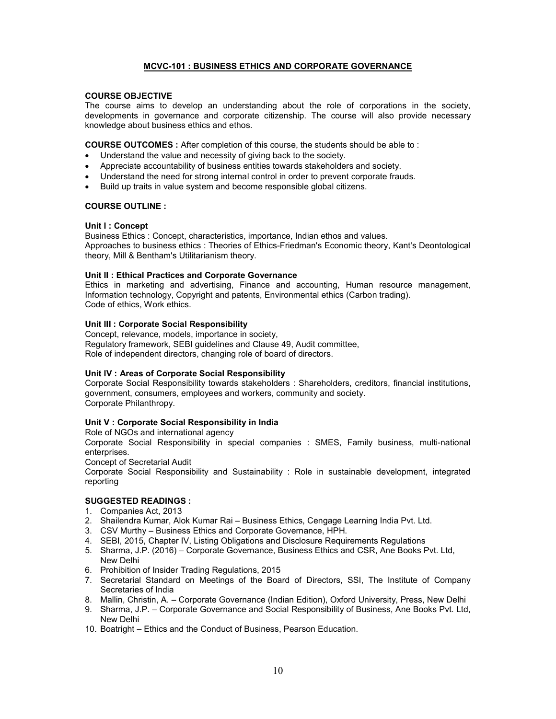## MCVC-101 : BUSINESS ETHICS AND CORPORATE GOVERNANCE

## COURSE OBJECTIVE

The course aims to develop an understanding about the role of corporations in the society, developments in governance and corporate citizenship. The course will also provide necessary knowledge about business ethics and ethos.

COURSE OUTCOMES : After completion of this course, the students should be able to :

- Understand the value and necessity of giving back to the society.
- Appreciate accountability of business entities towards stakeholders and society.
- Understand the need for strong internal control in order to prevent corporate frauds.
- Build up traits in value system and become responsible global citizens.

## COURSE OUTLINE :

## Unit I: Concept

Business Ethics : Concept, characteristics, importance, Indian ethos and values. Approaches to business ethics : Theories of Ethics-Friedman's Economic theory, Kant's Deontological theory, Mill & Bentham's Utilitarianism theory.

## Unit II : Ethical Practices and Corporate Governance

Ethics in marketing and advertising, Finance and accounting, Human resource management, Information technology, Copyright and patents, Environmental ethics (Carbon trading). Code of ethics, Work ethics.

## Unit III : Corporate Social Responsibility

Concept, relevance, models, importance in society, Regulatory framework, SEBI guidelines and Clause 49, Audit committee, Role of independent directors, changing role of board of directors.

## Unit IV : Areas of Corporate Social Responsibility

Corporate Social Responsibility towards stakeholders : Shareholders, creditors, financial institutions, government, consumers, employees and workers, community and society. Corporate Philanthropy.

## Unit V : Corporate Social Responsibility in India

Role of NGOs and international agency

Corporate Social Responsibility in special companies : SMES, Family business, multi-national enterprises.

Concept of Secretarial Audit

Corporate Social Responsibility and Sustainability : Role in sustainable development, integrated reporting

- 1. Companies Act, 2013
- 2. Shailendra Kumar, Alok Kumar Rai Business Ethics, Cengage Learning India Pvt. Ltd.
- 3. CSV Murthy Business Ethics and Corporate Governance, HPH.
- 4. SEBI, 2015, Chapter IV, Listing Obligations and Disclosure Requirements Regulations
- 5. Sharma, J.P. (2016) Corporate Governance, Business Ethics and CSR, Ane Books Pvt. Ltd, New Delhi
- 6. Prohibition of Insider Trading Regulations, 2015
- 7. Secretarial Standard on Meetings of the Board of Directors, SSI, The Institute of Company Secretaries of India
- 8. Mallin, Christin, A. Corporate Governance (Indian Edition), Oxford University, Press, New Delhi
- 9. Sharma, J.P. Corporate Governance and Social Responsibility of Business, Ane Books Pvt. Ltd, New Delhi
- 10. Boatright Ethics and the Conduct of Business, Pearson Education.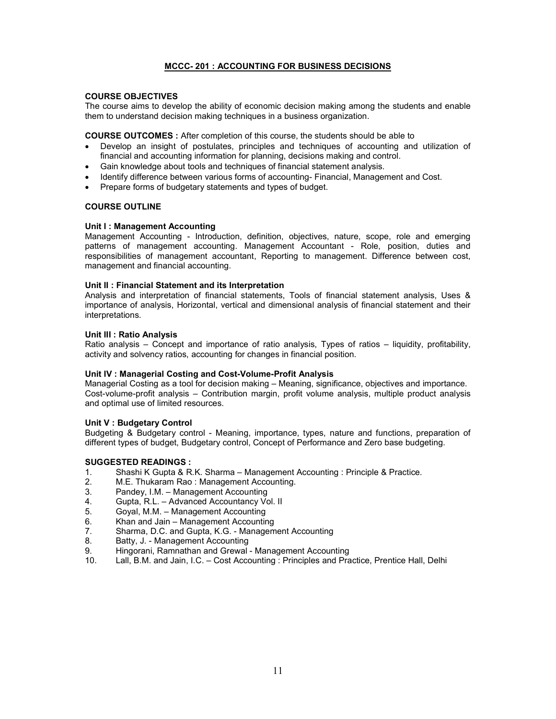## MCCC- 201 : ACCOUNTING FOR BUSINESS DECISIONS

## COURSE OBJECTIVES

The course aims to develop the ability of economic decision making among the students and enable them to understand decision making techniques in a business organization.

COURSE OUTCOMES : After completion of this course, the students should be able to

- Develop an insight of postulates, principles and techniques of accounting and utilization of financial and accounting information for planning, decisions making and control.
- Gain knowledge about tools and techniques of financial statement analysis.
- Identify difference between various forms of accounting- Financial, Management and Cost.
- Prepare forms of budgetary statements and types of budget.

## COURSE OUTLINE

## Unit I : Management Accounting

Management Accounting - Introduction, definition, objectives, nature, scope, role and emerging patterns of management accounting. Management Accountant - Role, position, duties and responsibilities of management accountant, Reporting to management. Difference between cost, management and financial accounting.

## Unit II : Financial Statement and its Interpretation

Analysis and interpretation of financial statements, Tools of financial statement analysis, Uses & importance of analysis, Horizontal, vertical and dimensional analysis of financial statement and their interpretations.

#### Unit III : Ratio Analysis

Ratio analysis – Concept and importance of ratio analysis, Types of ratios – liquidity, profitability, activity and solvency ratios, accounting for changes in financial position.

#### Unit IV : Managerial Costing and Cost-Volume-Profit Analysis

Managerial Costing as a tool for decision making – Meaning, significance, objectives and importance. Cost-volume-profit analysis – Contribution margin, profit volume analysis, multiple product analysis and optimal use of limited resources.

#### Unit V : Budgetary Control

Budgeting & Budgetary control - Meaning, importance, types, nature and functions, preparation of different types of budget, Budgetary control, Concept of Performance and Zero base budgeting.

- 1. Shashi K Gupta & R.K. Sharma Management Accounting : Principle & Practice.
- 2. M.E. Thukaram Rao : Management Accounting.
- 3. Pandey, I.M. Management Accounting
- 4. Gupta, R.L. Advanced Accountancy Vol. II
- 5. Goyal, M.M. Management Accounting
- 6. Khan and Jain Management Accounting
- 7. Sharma, D.C. and Gupta, K.G. Management Accounting
- 8. Batty, J. Management Accounting<br>9. Hingorani, Ramnathan and Grewal
- Hingorani, Ramnathan and Grewal Management Accounting
- 10. Lall, B.M. and Jain, I.C. Cost Accounting : Principles and Practice, Prentice Hall, Delhi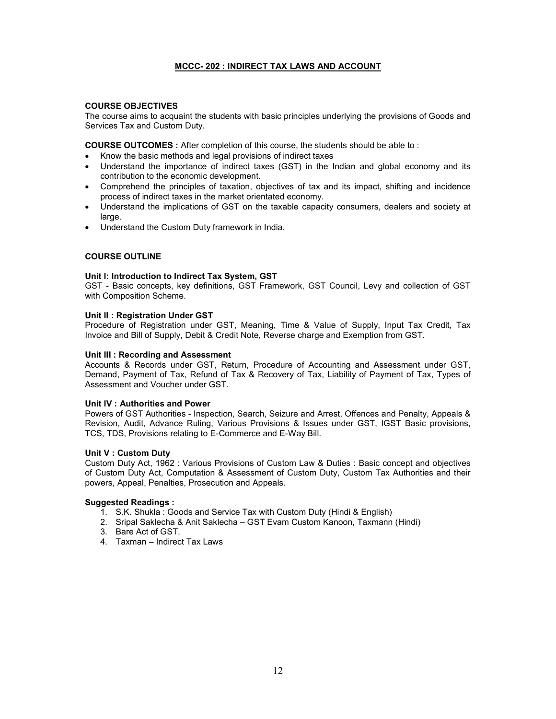## MCCC- 202 : INDIRECT TAX LAWS AND ACCOUNT

## COURSE OBJECTIVES

The course aims to acquaint the students with basic principles underlying the provisions of Goods and Services Tax and Custom Duty.

COURSE OUTCOMES : After completion of this course, the students should be able to :

- Know the basic methods and legal provisions of indirect taxes
- Understand the importance of indirect taxes (GST) in the Indian and global economy and its contribution to the economic development.
- Comprehend the principles of taxation, objectives of tax and its impact, shifting and incidence process of indirect taxes in the market orientated economy.
- Understand the implications of GST on the taxable capacity consumers, dealers and society at large.
- Understand the Custom Duty framework in India.

## COURSE OUTLINE

## Unit I: Introduction to Indirect Tax System, GST

GST - Basic concepts, key definitions, GST Framework, GST Council, Levy and collection of GST with Composition Scheme.

## Unit II : Registration Under GST

Procedure of Registration under GST, Meaning, Time & Value of Supply, Input Tax Credit, Tax Invoice and Bill of Supply, Debit & Credit Note, Reverse charge and Exemption from GST.

## Unit III : Recording and Assessment

Accounts & Records under GST, Return, Procedure of Accounting and Assessment under GST, Demand, Payment of Tax, Refund of Tax & Recovery of Tax, Liability of Payment of Tax, Types of Assessment and Voucher under GST.

## Unit IV : Authorities and Power

Powers of GST Authorities - Inspection, Search, Seizure and Arrest, Offences and Penalty, Appeals & Revision, Audit, Advance Ruling, Various Provisions & Issues under GST, IGST Basic provisions, TCS, TDS, Provisions relating to E-Commerce and E-Way Bill.

## Unit V : Custom Duty

Custom Duty Act, 1962 : Various Provisions of Custom Law & Duties : Basic concept and objectives of Custom Duty Act, Computation & Assessment of Custom Duty, Custom Tax Authorities and their powers, Appeal, Penalties, Prosecution and Appeals.

## Suggested Readings :

- 1. S.K. Shukla : Goods and Service Tax with Custom Duty (Hindi & English)
- 2. Sripal Saklecha & Anit Saklecha GST Evam Custom Kanoon, Taxmann (Hindi)
- 3. Bare Act of GST.
- 4. Taxman Indirect Tax Laws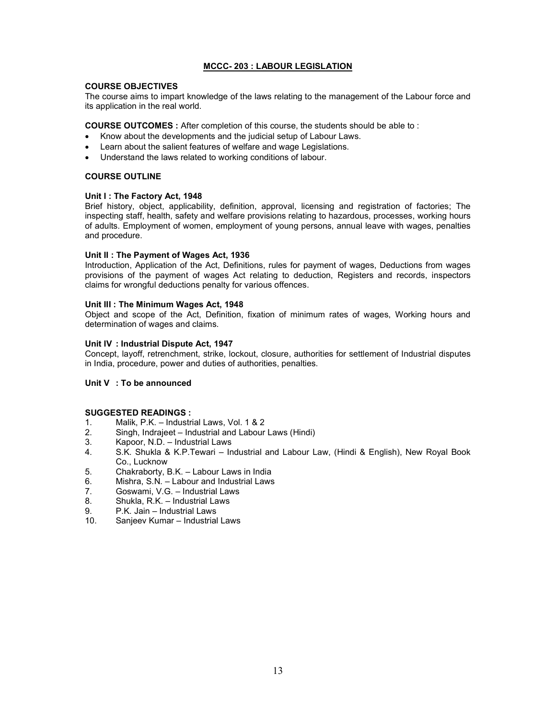## MCCC- 203 : LABOUR LEGISLATION

#### COURSE OBJECTIVES

The course aims to impart knowledge of the laws relating to the management of the Labour force and its application in the real world.

COURSE OUTCOMES : After completion of this course, the students should be able to :

- Know about the developments and the judicial setup of Labour Laws.
- Learn about the salient features of welfare and wage Legislations.
- Understand the laws related to working conditions of labour.

## COURSE OUTLINE

## Unit I: The Factory Act, 1948

Brief history, object, applicability, definition, approval, licensing and registration of factories; The inspecting staff, health, safety and welfare provisions relating to hazardous, processes, working hours of adults. Employment of women, employment of young persons, annual leave with wages, penalties and procedure.

## Unit II : The Payment of Wages Act, 1936

Introduction, Application of the Act, Definitions, rules for payment of wages, Deductions from wages provisions of the payment of wages Act relating to deduction, Registers and records, inspectors claims for wrongful deductions penalty for various offences.

## Unit III : The Minimum Wages Act, 1948

Object and scope of the Act, Definition, fixation of minimum rates of wages, Working hours and determination of wages and claims.

## Unit IV : Industrial Dispute Act, 1947

Concept, layoff, retrenchment, strike, lockout, closure, authorities for settlement of Industrial disputes in India, procedure, power and duties of authorities, penalties.

## Unit V : To be announced

- 1. Malik, P.K. Industrial Laws, Vol. 1 & 2
- 2. Singh, Indrajeet Industrial and Labour Laws (Hindi)
- 3. Kapoor, N.D. Industrial Laws<br>4. S.K. Shukla & K.P.Tewari In
- 4. S.K. Shukla & K.P.Tewari Industrial and Labour Law, (Hindi & English), New Royal Book Co., Lucknow
- 5. Chakraborty, B.K. Labour Laws in India
- 6. Mishra, S.N. Labour and Industrial Laws
- 7. Goswami, V.G. Industrial Laws
- 8. Shukla, R.K. Industrial Laws
- 9. P.K. Jain Industrial Laws<br>10. Sanieev Kumar Industrial
- Sanjeev Kumar Industrial Laws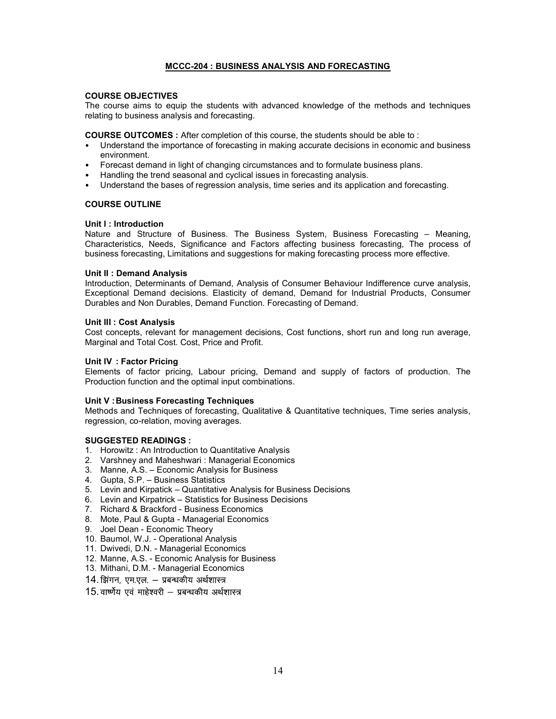## MCCC-204 : BUSINESS ANALYSIS AND FORECASTING

#### COURSE OBJECTIVES

The course aims to equip the students with advanced knowledge of the methods and techniques relating to business analysis and forecasting.

COURSE OUTCOMES : After completion of this course, the students should be able to :

- Understand the importance of forecasting in making accurate decisions in economic and business environment.
- Forecast demand in light of changing circumstances and to formulate business plans.
- Handling the trend seasonal and cyclical issues in forecasting analysis.
- Understand the bases of regression analysis, time series and its application and forecasting.

## COURSE OUTLINE

## Unit I : Introduction

Nature and Structure of Business. The Business System, Business Forecasting – Meaning, Characteristics, Needs, Significance and Factors affecting business forecasting, The process of business forecasting, Limitations and suggestions for making forecasting process more effective.

#### Unit II : Demand Analysis

Introduction, Determinants of Demand, Analysis of Consumer Behaviour Indifference curve analysis, Exceptional Demand decisions. Elasticity of demand, Demand for Industrial Products, Consumer Durables and Non Durables, Demand Function. Forecasting of Demand.

## Unit III : Cost Analysis

Cost concepts, relevant for management decisions, Cost functions, short run and long run average, Marginal and Total Cost. Cost, Price and Profit.

#### Unit IV : Factor Pricing

Elements of factor pricing, Labour pricing, Demand and supply of factors of production. The Production function and the optimal input combinations.

## Unit V : Business Forecasting Techniques

Methods and Techniques of forecasting, Qualitative & Quantitative techniques, Time series analysis, regression, co-relation, moving averages.

## SUGGESTED READINGS :

- 1. Horowitz : An Introduction to Quantitative Analysis
- 2. Varshney and Maheshwari : Managerial Economics
- 3. Manne, A.S. Economic Analysis for Business
- 4. Gupta, S.P. Business Statistics
- 5. Levin and Kirpatick Quantitative Analysis for Business Decisions
- 6. Levin and Kirpatrick Statistics for Business Decisions
- 7. Richard & Brackford Business Economics
- 8. Mote, Paul & Gupta Managerial Economics
- 9. Joel Dean Economic Theory
- 10. Baumol, W.J. Operational Analysis
- 11. Dwivedi, D.N. Managerial Economics
- 12. Manne, A.S. Economic Analysis for Business
- 13. Mithani, D.M. Managerial Economics
- 14. झिगन, एम.एल. प्रबन्धकीय अर्थशास्त्र

## $15.$  वार्ष्णेय एवं माहेश्वरी – प्रबन्धकीय अर्थशास्त्र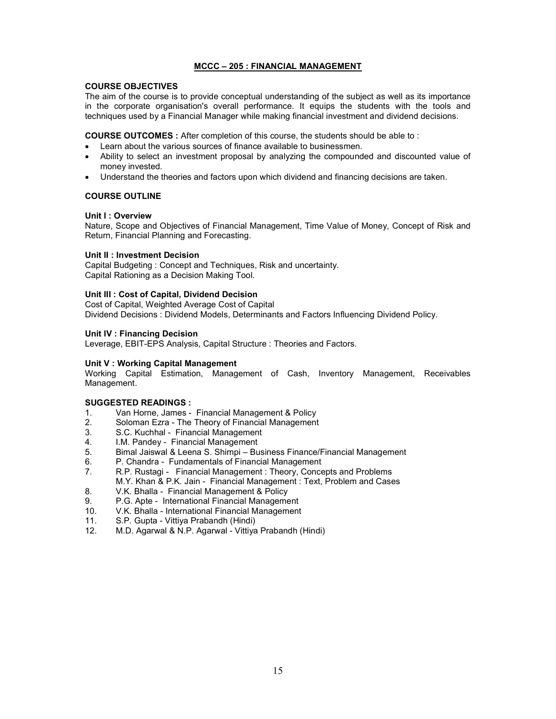## MCCC – 205 : FINANCIAL MANAGEMENT

## COURSE OBJECTIVES

The aim of the course is to provide conceptual understanding of the subject as well as its importance in the corporate organisation's overall performance. It equips the students with the tools and techniques used by a Financial Manager while making financial investment and dividend decisions.

COURSE OUTCOMES : After completion of this course, the students should be able to :

- Learn about the various sources of finance available to businessmen.
- Ability to select an investment proposal by analyzing the compounded and discounted value of money invested.
- Understand the theories and factors upon which dividend and financing decisions are taken.

## COURSE OUTLINE

## Unit I : Overview

Nature, Scope and Objectives of Financial Management, Time Value of Money, Concept of Risk and Return, Financial Planning and Forecasting.

## Unit II : Investment Decision

Capital Budgeting : Concept and Techniques, Risk and uncertainty. Capital Rationing as a Decision Making Tool.

## Unit III : Cost of Capital, Dividend Decision

Cost of Capital, Weighted Average Cost of Capital Dividend Decisions : Dividend Models, Determinants and Factors Influencing Dividend Policy.

## Unit IV : Financing Decision

Leverage, EBIT-EPS Analysis, Capital Structure : Theories and Factors.

## Unit V : Working Capital Management

Working Capital Estimation, Management of Cash, Inventory Management, Receivables Management.

- 1. Van Horne, James Financial Management & Policy
- 2. Soloman Ezra The Theory of Financial Management
- 3. S.C. Kuchhal Financial Management
- 4. I.M. Pandey Financial Management<br>5. Bimal Jaiswal & Leena S. Shimpi Bu
- 5. Bimal Jaiswal & Leena S. Shimpi Business Finance/Financial Management
- 6. P. Chandra Fundamentals of Financial Management
- 7. R.P. Rustagi Financial Management : Theory, Concepts and Problems
- M.Y. Khan & P.K. Jain Financial Management : Text, Problem and Cases
- 8. V.K. Bhalla Financial Management & Policy
- 9. P.G. Apte International Financial Management
- 10. V.K. Bhalla International Financial Management
- 11. S.P. Gupta Vittiya Prabandh (Hindi)
- 12. M.D. Agarwal & N.P. Agarwal Vittiya Prabandh (Hindi)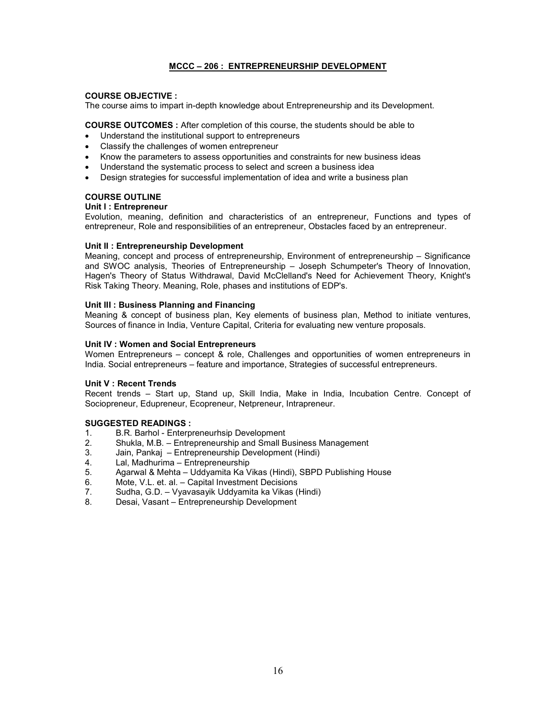## MCCC – 206 : ENTREPRENEURSHIP DEVELOPMENT

## COURSE OBJECTIVE :

The course aims to impart in-depth knowledge about Entrepreneurship and its Development.

COURSE OUTCOMES : After completion of this course, the students should be able to

- Understand the institutional support to entrepreneurs
- Classify the challenges of women entrepreneur
- Know the parameters to assess opportunities and constraints for new business ideas
- Understand the systematic process to select and screen a business idea
- Design strategies for successful implementation of idea and write a business plan

## COURSE OUTLINE

## Unit I : Entrepreneur

Evolution, meaning, definition and characteristics of an entrepreneur, Functions and types of entrepreneur, Role and responsibilities of an entrepreneur, Obstacles faced by an entrepreneur.

## Unit II : Entrepreneurship Development

Meaning, concept and process of entrepreneurship, Environment of entrepreneurship – Significance and SWOC analysis, Theories of Entrepreneurship – Joseph Schumpeter's Theory of Innovation, Hagen's Theory of Status Withdrawal, David McClelland's Need for Achievement Theory, Knight's Risk Taking Theory. Meaning, Role, phases and institutions of EDP's.

## Unit III : Business Planning and Financing

Meaning & concept of business plan, Key elements of business plan, Method to initiate ventures, Sources of finance in India, Venture Capital, Criteria for evaluating new venture proposals.

## Unit IV : Women and Social Entrepreneurs

Women Entrepreneurs – concept & role, Challenges and opportunities of women entrepreneurs in India. Social entrepreneurs – feature and importance, Strategies of successful entrepreneurs.

## Unit V : Recent Trends

Recent trends – Start up, Stand up, Skill India, Make in India, Incubation Centre. Concept of Sociopreneur, Edupreneur, Ecopreneur, Netpreneur, Intrapreneur.

- 1. B.R. Barhol Enterpreneurhsip Development
- 2. Shukla, M.B. Entrepreneurship and Small Business Management
- 3. Jain, Pankaj Entrepreneurship Development (Hindi)
- 4. Lal, Madhurima Entrepreneurship
- 5. Agarwal & Mehta Uddyamita Ka Vikas (Hindi), SBPD Publishing House
- 6. Mote, V.L. et. al. Capital Investment Decisions
- 7. Sudha, G.D. Vyavasayik Uddyamita ka Vikas (Hindi)
- 8. Desai, Vasant Entrepreneurship Development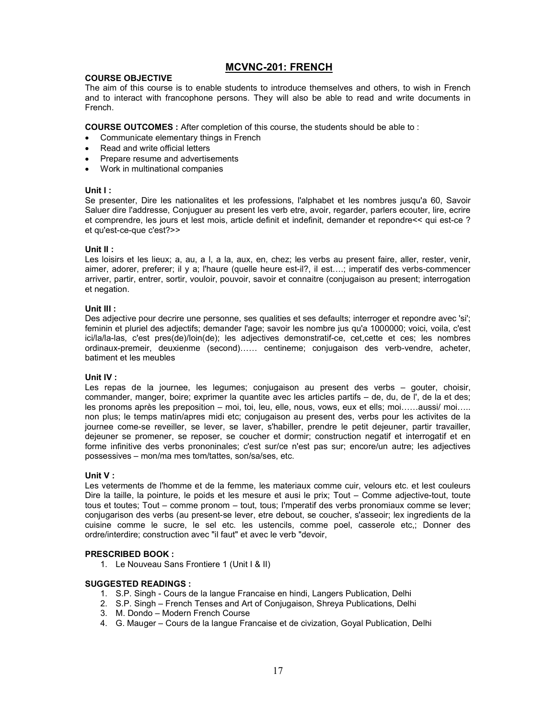# MCVNC-201: FRENCH

## COURSE OBJECTIVE

The aim of this course is to enable students to introduce themselves and others, to wish in French and to interact with francophone persons. They will also be able to read and write documents in French.

COURSE OUTCOMES : After completion of this course, the students should be able to :

- Communicate elementary things in French
- Read and write official letters
- Prepare resume and advertisements
- Work in multinational companies

## Unit I :

Se presenter, Dire les nationalites et les professions, l'alphabet et les nombres jusqu'a 60, Savoir Saluer dire l'addresse, Conjuguer au present les verb etre, avoir, regarder, parlers ecouter, lire, ecrire et comprendre, les jours et lest mois, article definit et indefinit, demander et repondre<< qui est-ce ? et qu'est-ce-que c'est?>>

## Unit II :

Les loisirs et les lieux; a, au, a l, a la, aux, en, chez; les verbs au present faire, aller, rester, venir, aimer, adorer, preferer; il y a; l'haure (quelle heure est-il?, il est….; imperatif des verbs-commencer arriver, partir, entrer, sortir, vouloir, pouvoir, savoir et connaitre (conjugaison au present; interrogation et negation.

## Unit III :

Des adjective pour decrire une personne, ses qualities et ses defaults; interroger et repondre avec 'si'; feminin et pluriel des adjectifs; demander l'age; savoir les nombre jus qu'a 1000000; voici, voila, c'est ici/la/la-las, c'est pres(de)/loin(de); les adjectives demonstratif-ce, cet,cette et ces; les nombres ordinaux-premeir, deuxienme (second)…… centineme; conjugaison des verb-vendre, acheter, batiment et les meubles

## Unit IV :

Les repas de la journee, les legumes; conjugaison au present des verbs – gouter, choisir, commander, manger, boire; exprimer la quantite avec les articles partifs – de, du, de l', de la et des; les pronoms après les preposition – moi, toi, leu, elle, nous, vows, eux et ells; moi……aussi/ moi….. non plus; le temps matin/apres midi etc; conjugaison au present des, verbs pour les activites de la journee come-se reveiller, se lever, se laver, s'habiller, prendre le petit dejeuner, partir travailler, dejeuner se promener, se reposer, se coucher et dormir; construction negatif et interrogatif et en forme infinitive des verbs prononinales; c'est sur/ce n'est pas sur; encore/un autre; les adjectives possessives – mon/ma mes tom/tattes, son/sa/ses, etc.

## Unit V :

Les veterments de l'homme et de la femme, les materiaux comme cuir, velours etc. et lest couleurs Dire la taille, la pointure, le poids et les mesure et ausi le prix; Tout – Comme adjective-tout, toute tous et toutes; Tout – comme pronom – tout, tous; I'mperatif des verbs pronomiaux comme se lever; conjugarison des verbs (au present-se lever, etre debout, se coucher, s'asseoir; lex ingredients de la cuisine comme le sucre, le sel etc. les ustencils, comme poel, casserole etc,; Donner des ordre/interdire; construction avec "il faut" et avec le verb "devoir,

## PRESCRIBED BOOK :

1. Le Nouveau Sans Frontiere 1 (Unit I & II)

- 1. S.P. Singh Cours de la langue Francaise en hindi, Langers Publication, Delhi
- 2. S.P. Singh French Tenses and Art of Conjugaison, Shreya Publications, Delhi
- 3. M. Dondo Modern French Course
- 4. G. Mauger Cours de la langue Francaise et de civization, Goyal Publication, Delhi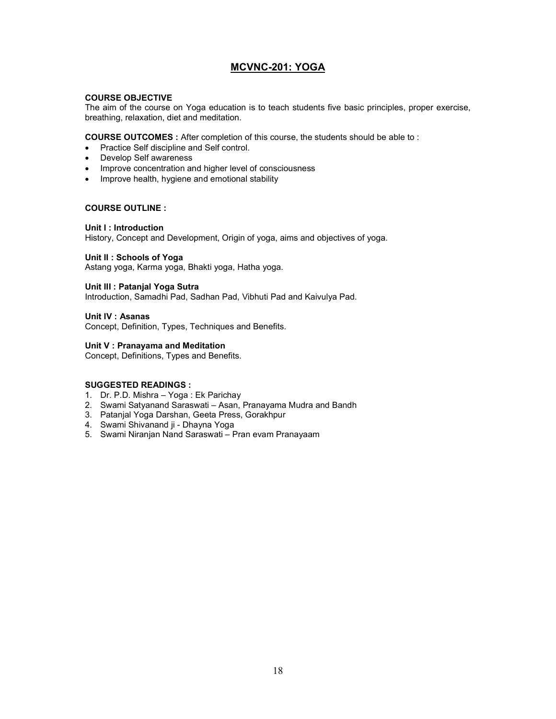# MCVNC-201: YOGA

## COURSE OBJECTIVE

The aim of the course on Yoga education is to teach students five basic principles, proper exercise, breathing, relaxation, diet and meditation.

COURSE OUTCOMES : After completion of this course, the students should be able to :

- Practice Self discipline and Self control.
- Develop Self awareness
- Improve concentration and higher level of consciousness
- Improve health, hygiene and emotional stability

## COURSE OUTLINE :

## Unit I : Introduction

History, Concept and Development, Origin of yoga, aims and objectives of yoga.

## Unit II : Schools of Yoga

Astang yoga, Karma yoga, Bhakti yoga, Hatha yoga.

## Unit III : Patanjal Yoga Sutra

Introduction, Samadhi Pad, Sadhan Pad, Vibhuti Pad and Kaivulya Pad.

## Unit IV : Asanas

Concept, Definition, Types, Techniques and Benefits.

## Unit V : Pranayama and Meditation

Concept, Definitions, Types and Benefits.

- 1. Dr. P.D. Mishra Yoga : Ek Parichay
- 2. Swami Satyanand Saraswati Asan, Pranayama Mudra and Bandh
- 3. Patanjal Yoga Darshan, Geeta Press, Gorakhpur
- 4. Swami Shivanand ji Dhayna Yoga
- 5. Swami Niranjan Nand Saraswati Pran evam Pranayaam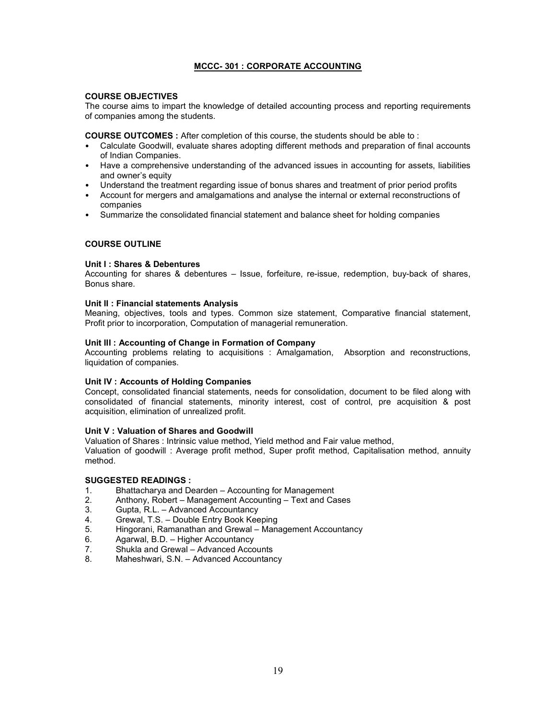## MCCC- 301 : CORPORATE ACCOUNTING

## COURSE OBJECTIVES

The course aims to impart the knowledge of detailed accounting process and reporting requirements of companies among the students.

COURSE OUTCOMES : After completion of this course, the students should be able to :

- Calculate Goodwill, evaluate shares adopting different methods and preparation of final accounts of Indian Companies.
- Have a comprehensive understanding of the advanced issues in accounting for assets, liabilities and owner's equity
- Understand the treatment regarding issue of bonus shares and treatment of prior period profits
- Account for mergers and amalgamations and analyse the internal or external reconstructions of companies
- Summarize the consolidated financial statement and balance sheet for holding companies

## COURSE OUTLINE

## Unit I : Shares & Debentures

Accounting for shares & debentures – Issue, forfeiture, re-issue, redemption, buy-back of shares, Bonus share.

## Unit II : Financial statements Analysis

Meaning, objectives, tools and types. Common size statement, Comparative financial statement, Profit prior to incorporation, Computation of managerial remuneration.

## Unit III : Accounting of Change in Formation of Company

Accounting problems relating to acquisitions : Amalgamation, Absorption and reconstructions, liquidation of companies.

## Unit IV : Accounts of Holding Companies

Concept, consolidated financial statements, needs for consolidation, document to be filed along with consolidated of financial statements, minority interest, cost of control, pre acquisition & post acquisition, elimination of unrealized profit.

## Unit V : Valuation of Shares and Goodwill

Valuation of Shares : Intrinsic value method, Yield method and Fair value method,

Valuation of goodwill : Average profit method, Super profit method, Capitalisation method, annuity method.

- 1. Bhattacharya and Dearden Accounting for Management
- 2. Anthony, Robert Management Accounting Text and Cases
- 3. Gupta, R.L. Advanced Accountancy
- 4. Grewal, T.S. Double Entry Book Keeping<br>5. Hingorani. Ramanathan and Grewal Mana
- 5. Hingorani, Ramanathan and Grewal Management Accountancy
- 6. Agarwal, B.D. Higher Accountancy
- 7. Shukla and Grewal Advanced Accounts<br>8. Maheshwari S.N. Advanced Accountanc
- Maheshwari, S.N. Advanced Accountancy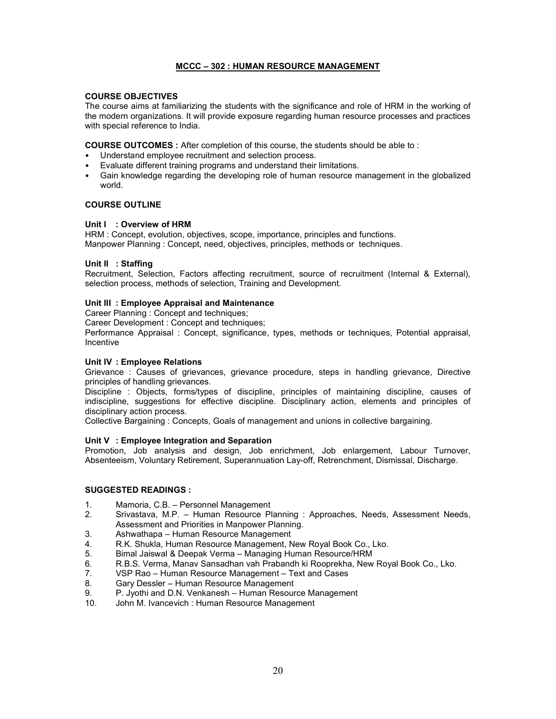## MCCC – 302 : HUMAN RESOURCE MANAGEMENT

## COURSE OBJECTIVES

The course aims at familiarizing the students with the significance and role of HRM in the working of the modern organizations. It will provide exposure regarding human resource processes and practices with special reference to India.

COURSE OUTCOMES : After completion of this course, the students should be able to :

- Understand employee recruitment and selection process.
- Evaluate different training programs and understand their limitations.
- Gain knowledge regarding the developing role of human resource management in the globalized world.

## COURSE OUTLINE

## Unit I : Overview of HRM

HRM : Concept, evolution, objectives, scope, importance, principles and functions. Manpower Planning : Concept, need, objectives, principles, methods or techniques.

## Unit II : Staffing

Recruitment, Selection, Factors affecting recruitment, source of recruitment (Internal & External), selection process, methods of selection, Training and Development.

## Unit III : Employee Appraisal and Maintenance

Career Planning : Concept and techniques;

Career Development : Concept and techniques;

Performance Appraisal : Concept, significance, types, methods or techniques, Potential appraisal, Incentive

## Unit IV : Employee Relations

Grievance : Causes of grievances, grievance procedure, steps in handling grievance, Directive principles of handling grievances.

Discipline : Objects, forms/types of discipline, principles of maintaining discipline, causes of indiscipline, suggestions for effective discipline. Disciplinary action, elements and principles of disciplinary action process.

Collective Bargaining : Concepts, Goals of management and unions in collective bargaining.

## Unit V : Employee Integration and Separation

Promotion, Job analysis and design, Job enrichment, Job enlargement, Labour Turnover, Absenteeism, Voluntary Retirement, Superannuation Lay-off, Retrenchment, Dismissal, Discharge.

- 1. Mamoria, C.B. Personnel Management
- 2. Srivastava, M.P. Human Resource Planning : Approaches, Needs, Assessment Needs, Assessment and Priorities in Manpower Planning.
- 3. Ashwathapa Human Resource Management
- 4. R.K. Shukla, Human Resource Management, New Royal Book Co., Lko.
- 5. Bimal Jaiswal & Deepak Verma Managing Human Resource/HRM<br>6. R.B.S. Verma, Manay Sansadhan vah Prabandh ki Rooprekha, New
- 6. R.B.S. Verma, Manav Sansadhan vah Prabandh ki Rooprekha, New Royal Book Co., Lko.
- 7. VSP Rao Human Resource Management Text and Cases<br>8 Gary Dessler Human Resource Management
- 8. Gary Dessler Human Resource Management
- 9. P. Jyothi and D.N. Venkanesh Human Resource Management
- 10. John M. Ivancevich : Human Resource Management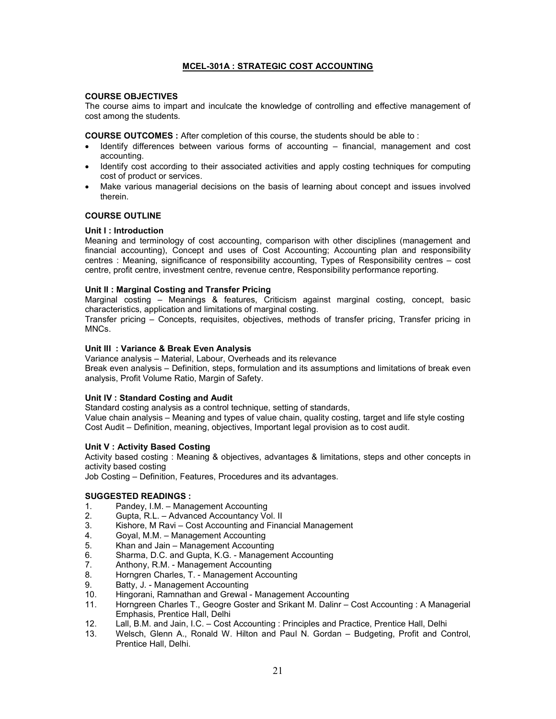## MCEL-301A : STRATEGIC COST ACCOUNTING

## COURSE OBJECTIVES

The course aims to impart and inculcate the knowledge of controlling and effective management of cost among the students.

COURSE OUTCOMES : After completion of this course, the students should be able to :

- $\bullet$  Identify differences between various forms of accounting  $-$  financial, management and cost accounting.
- Identify cost according to their associated activities and apply costing techniques for computing cost of product or services.
- Make various managerial decisions on the basis of learning about concept and issues involved therein.

## COURSE OUTLINE

## Unit I : Introduction

Meaning and terminology of cost accounting, comparison with other disciplines (management and financial accounting), Concept and uses of Cost Accounting; Accounting plan and responsibility centres : Meaning, significance of responsibility accounting, Types of Responsibility centres – cost centre, profit centre, investment centre, revenue centre, Responsibility performance reporting.

## Unit II : Marginal Costing and Transfer Pricing

Marginal costing – Meanings & features, Criticism against marginal costing, concept, basic characteristics, application and limitations of marginal costing.

Transfer pricing – Concepts, requisites, objectives, methods of transfer pricing, Transfer pricing in MNCs.

## Unit III : Variance & Break Even Analysis

Variance analysis – Material, Labour, Overheads and its relevance Break even analysis – Definition, steps, formulation and its assumptions and limitations of break even analysis, Profit Volume Ratio, Margin of Safety.

## Unit IV : Standard Costing and Audit

Standard costing analysis as a control technique, setting of standards, Value chain analysis – Meaning and types of value chain, quality costing, target and life style costing Cost Audit – Definition, meaning, objectives, Important legal provision as to cost audit.

## Unit V : Activity Based Costing

Activity based costing : Meaning & objectives, advantages & limitations, steps and other concepts in activity based costing

Job Costing – Definition, Features, Procedures and its advantages.

- 1. Pandey, I.M. Management Accounting
- 2. Gupta, R.L. Advanced Accountancy Vol. II<br>3. Kishore. M Ravi Cost Accounting and Fina
- Kishore, M Ravi Cost Accounting and Financial Management
- 4. Goyal, M.M. Management Accounting
- 5. Khan and Jain Management Accounting
- 6. Sharma, D.C. and Gupta, K.G. Management Accounting
- Anthony, R.M. Management Accounting
- 8. Horngren Charles, T. Management Accounting
- 9. Batty, J. Management Accounting
- 10. Hingorani, Ramnathan and Grewal Management Accounting
- 11. Horngreen Charles T., Geogre Goster and Srikant M. Dalinr Cost Accounting : A Managerial Emphasis, Prentice Hall, Delhi
- 12. Lall, B.M. and Jain, I.C. Cost Accounting : Principles and Practice, Prentice Hall, Delhi<br>13. Welsch, Glenn A., Ronald W. Hilton and Paul N. Gordan Budgeting, Profit and Co
- 13. Welsch, Glenn A., Ronald W. Hilton and Paul N. Gordan Budgeting, Profit and Control, Prentice Hall, Delhi.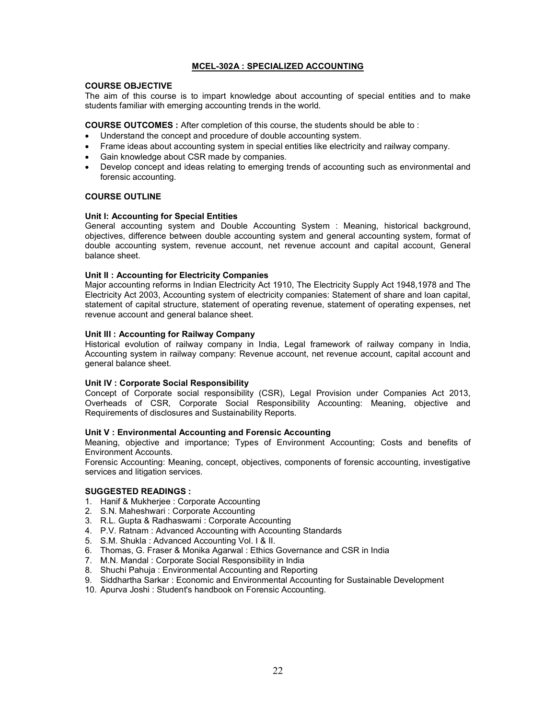## MCEL-302A : SPECIALIZED ACCOUNTING

#### COURSE OBJECTIVE

The aim of this course is to impart knowledge about accounting of special entities and to make students familiar with emerging accounting trends in the world.

COURSE OUTCOMES : After completion of this course, the students should be able to :

- Understand the concept and procedure of double accounting system.
- Frame ideas about accounting system in special entities like electricity and railway company.
- Gain knowledge about CSR made by companies.
- Develop concept and ideas relating to emerging trends of accounting such as environmental and forensic accounting.

## COURSE OUTLINE

## Unit I: Accounting for Special Entities

General accounting system and Double Accounting System : Meaning, historical background, objectives, difference between double accounting system and general accounting system, format of double accounting system, revenue account, net revenue account and capital account, General balance sheet.

## Unit II : Accounting for Electricity Companies

Major accounting reforms in Indian Electricity Act 1910, The Electricity Supply Act 1948,1978 and The Electricity Act 2003, Accounting system of electricity companies: Statement of share and loan capital, statement of capital structure, statement of operating revenue, statement of operating expenses, net revenue account and general balance sheet.

## Unit III : Accounting for Railway Company

Historical evolution of railway company in India, Legal framework of railway company in India, Accounting system in railway company: Revenue account, net revenue account, capital account and general balance sheet.

## Unit IV : Corporate Social Responsibility

Concept of Corporate social responsibility (CSR), Legal Provision under Companies Act 2013, Overheads of CSR, Corporate Social Responsibility Accounting: Meaning, objective and Requirements of disclosures and Sustainability Reports.

## Unit V : Environmental Accounting and Forensic Accounting

Meaning, objective and importance; Types of Environment Accounting; Costs and benefits of Environment Accounts.

Forensic Accounting: Meaning, concept, objectives, components of forensic accounting, investigative services and litigation services.

- 1. Hanif & Mukherjee : Corporate Accounting
- 2. S.N. Maheshwari : Corporate Accounting
- 3. R.L. Gupta & Radhaswami : Corporate Accounting
- 4. P.V. Ratnam : Advanced Accounting with Accounting Standards
- 5. S.M. Shukla : Advanced Accounting Vol. I & II.
- 6. Thomas, G. Fraser & Monika Agarwal : Ethics Governance and CSR in India
- 7. M.N. Mandal : Corporate Social Responsibility in India
- 8. Shuchi Pahuja : Environmental Accounting and Reporting
- 9. Siddhartha Sarkar : Economic and Environmental Accounting for Sustainable Development
- 10. Apurva Joshi : Student's handbook on Forensic Accounting.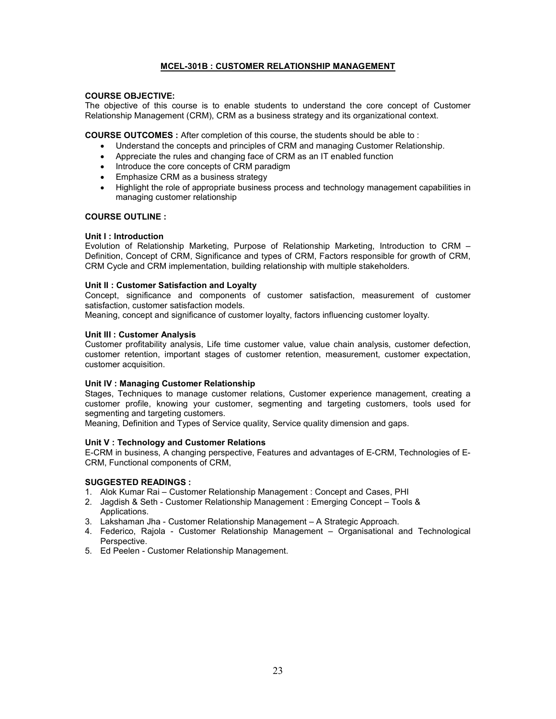## MCEL-301B : CUSTOMER RELATIONSHIP MANAGEMENT

## COURSE OBJECTIVE:

The objective of this course is to enable students to understand the core concept of Customer Relationship Management (CRM), CRM as a business strategy and its organizational context.

COURSE OUTCOMES : After completion of this course, the students should be able to :

- Understand the concepts and principles of CRM and managing Customer Relationship.
- Appreciate the rules and changing face of CRM as an IT enabled function
- Introduce the core concepts of CRM paradigm
- Emphasize CRM as a business strategy
- Highlight the role of appropriate business process and technology management capabilities in managing customer relationship

## COURSE OUTLINE :

## Unit I : Introduction

Evolution of Relationship Marketing, Purpose of Relationship Marketing, Introduction to CRM – Definition, Concept of CRM, Significance and types of CRM, Factors responsible for growth of CRM, CRM Cycle and CRM implementation, building relationship with multiple stakeholders.

## Unit II : Customer Satisfaction and Loyalty

Concept, significance and components of customer satisfaction, measurement of customer satisfaction, customer satisfaction models.

Meaning, concept and significance of customer loyalty, factors influencing customer loyalty.

## Unit III : Customer Analysis

Customer profitability analysis, Life time customer value, value chain analysis, customer defection, customer retention, important stages of customer retention, measurement, customer expectation, customer acquisition.

## Unit IV : Managing Customer Relationship

Stages, Techniques to manage customer relations, Customer experience management, creating a customer profile, knowing your customer, segmenting and targeting customers, tools used for segmenting and targeting customers.

Meaning, Definition and Types of Service quality, Service quality dimension and gaps.

## Unit V : Technology and Customer Relations

E-CRM in business, A changing perspective, Features and advantages of E-CRM, Technologies of E-CRM, Functional components of CRM,

- 1. Alok Kumar Rai Customer Relationship Management : Concept and Cases, PHI
- 2. Jagdish & Seth Customer Relationship Management : Emerging Concept Tools & Applications.
- 3. Lakshaman Jha Customer Relationship Management A Strategic Approach.
- 4. Federico, Rajola Customer Relationship Management Organisational and Technological Perspective.
- 5. Ed Peelen Customer Relationship Management.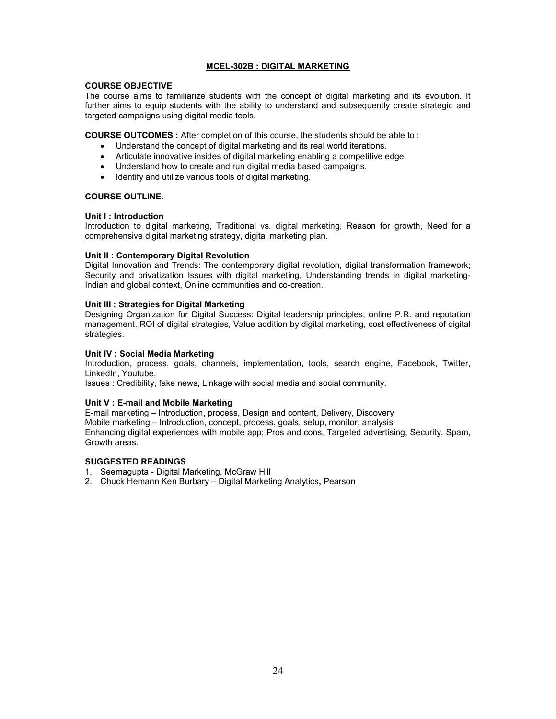## MCEL-302B : DIGITAL MARKETING

#### COURSE OBJECTIVE

The course aims to familiarize students with the concept of digital marketing and its evolution. It further aims to equip students with the ability to understand and subsequently create strategic and targeted campaigns using digital media tools.

COURSE OUTCOMES : After completion of this course, the students should be able to :

- Understand the concept of digital marketing and its real world iterations.
- Articulate innovative insides of digital marketing enabling a competitive edge.
- Understand how to create and run digital media based campaigns.
- Identify and utilize various tools of digital marketing.

## COURSE OUTLINE.

## Unit I : Introduction

Introduction to digital marketing, Traditional vs. digital marketing, Reason for growth, Need for a comprehensive digital marketing strategy, digital marketing plan.

## Unit II : Contemporary Digital Revolution

Digital Innovation and Trends: The contemporary digital revolution, digital transformation framework; Security and privatization Issues with digital marketing, Understanding trends in digital marketing-Indian and global context, Online communities and co-creation.

## Unit III : Strategies for Digital Marketing

Designing Organization for Digital Success: Digital leadership principles, online P.R. and reputation management. ROI of digital strategies, Value addition by digital marketing, cost effectiveness of digital strategies.

## Unit IV : Social Media Marketing

Introduction, process, goals, channels, implementation, tools, search engine, Facebook, Twitter, LinkedIn, Youtube.

Issues : Credibility, fake news, Linkage with social media and social community.

## Unit V : E-mail and Mobile Marketing

E-mail marketing – Introduction, process, Design and content, Delivery, Discovery Mobile marketing – Introduction, concept, process, goals, setup, monitor, analysis Enhancing digital experiences with mobile app; Pros and cons, Targeted advertising, Security, Spam, Growth areas.

- 1. Seemagupta Digital Marketing, McGraw Hill
- 2. Chuck Hemann Ken Burbary Digital Marketing Analytics, Pearson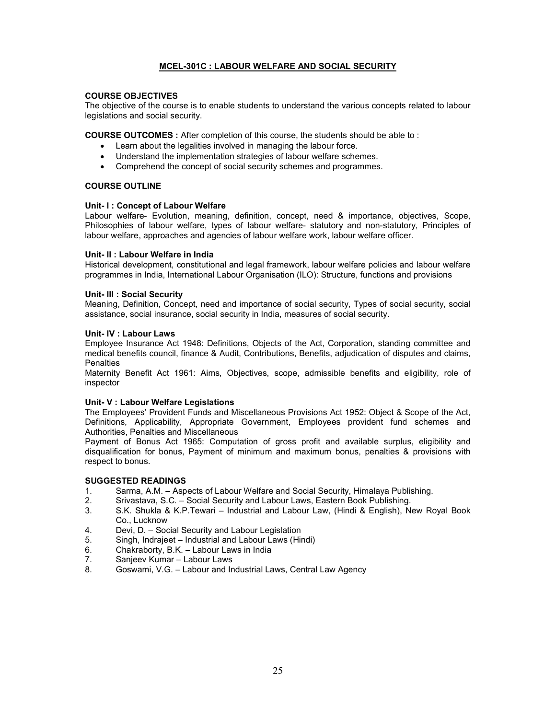## MCEL-301C : LABOUR WELFARE AND SOCIAL SECURITY

## COURSE OBJECTIVES

The objective of the course is to enable students to understand the various concepts related to labour legislations and social security.

COURSE OUTCOMES : After completion of this course, the students should be able to :

- Learn about the legalities involved in managing the labour force.
- Understand the implementation strategies of labour welfare schemes.
- Comprehend the concept of social security schemes and programmes.

#### COURSE OUTLINE

## Unit- l : Concept of Labour Welfare

Labour welfare- Evolution, meaning, definition, concept, need & importance, objectives, Scope, Philosophies of labour welfare, types of labour welfare- statutory and non-statutory, Principles of labour welfare, approaches and agencies of labour welfare work, labour welfare officer.

## Unit- ll : Labour Welfare in India

Historical development, constitutional and legal framework, labour welfare policies and labour welfare programmes in India, International Labour Organisation (ILO): Structure, functions and provisions

#### Unit- lll : Social Security

Meaning, Definition, Concept, need and importance of social security, Types of social security, social assistance, social insurance, social security in India, measures of social security.

#### Unit- lV : Labour Laws

Employee Insurance Act 1948: Definitions, Objects of the Act, Corporation, standing committee and medical benefits council, finance & Audit, Contributions, Benefits, adjudication of disputes and claims, **Penalties** 

Maternity Benefit Act 1961: Aims, Objectives, scope, admissible benefits and eligibility, role of inspector

## Unit- V : Labour Welfare Legislations

The Employees' Provident Funds and Miscellaneous Provisions Act 1952: Object & Scope of the Act, Definitions, Applicability, Appropriate Government, Employees provident fund schemes and Authorities, Penalties and Miscellaneous

Payment of Bonus Act 1965: Computation of gross profit and available surplus, eligibility and disqualification for bonus, Payment of minimum and maximum bonus, penalties & provisions with respect to bonus.

- 1. Sarma, A.M. Aspects of Labour Welfare and Social Security, Himalaya Publishing.
- 2. Srivastava, S.C. Social Security and Labour Laws, Eastern Book Publishing.
- 3. S.K. Shukla & K.P.Tewari Industrial and Labour Law, (Hindi & English), New Royal Book Co., Lucknow
- 4. Devi, D. Social Security and Labour Legislation
- Singh, Indrajeet Industrial and Labour Laws (Hindi)
- 6. Chakraborty, B.K. Labour Laws in India
- Sanjeev Kumar Labour Laws
- 8. Goswami, V.G. Labour and Industrial Laws, Central Law Agency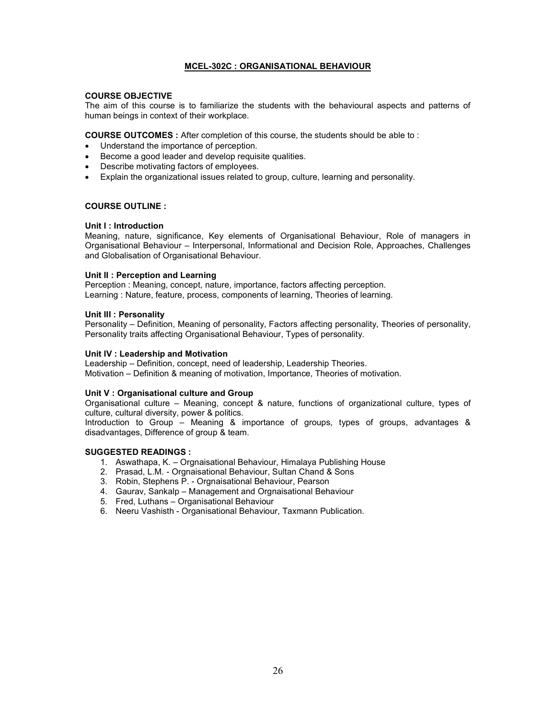## MCEL-302C : ORGANISATIONAL BEHAVIOUR

## COURSE OBJECTIVE

The aim of this course is to familiarize the students with the behavioural aspects and patterns of human beings in context of their workplace.

COURSE OUTCOMES : After completion of this course, the students should be able to :

- Understand the importance of perception.
- Become a good leader and develop requisite qualities.
- Describe motivating factors of employees.
- Explain the organizational issues related to group, culture, learning and personality.

## COURSE OUTLINE :

## Unit I : Introduction

Meaning, nature, significance, Key elements of Organisational Behaviour, Role of managers in Organisational Behaviour – Interpersonal, Informational and Decision Role, Approaches, Challenges and Globalisation of Organisational Behaviour.

## Unit II : Perception and Learning

Perception : Meaning, concept, nature, importance, factors affecting perception. Learning : Nature, feature, process, components of learning, Theories of learning.

## Unit III : Personality

Personality – Definition, Meaning of personality, Factors affecting personality, Theories of personality, Personality traits affecting Organisational Behaviour, Types of personality.

## Unit IV : Leadership and Motivation

Leadership – Definition, concept, need of leadership, Leadership Theories. Motivation – Definition & meaning of motivation, Importance, Theories of motivation.

## Unit V : Organisational culture and Group

Organisational culture – Meaning, concept & nature, functions of organizational culture, types of culture, cultural diversity, power & politics.

Introduction to Group – Meaning & importance of groups, types of groups, advantages & disadvantages, Difference of group & team.

- 1. Aswathapa, K. Orgnaisational Behaviour, Himalaya Publishing House
- 2. Prasad, L.M. Orgnaisational Behaviour, Sultan Chand & Sons
- 3. Robin, Stephens P. Orgnaisational Behaviour, Pearson
- 4. Gaurav, Sankalp Management and Orgnaisational Behaviour
- 5. Fred, Luthans Organisational Behaviour
- 6. Neeru Vashisth Organisational Behaviour, Taxmann Publication.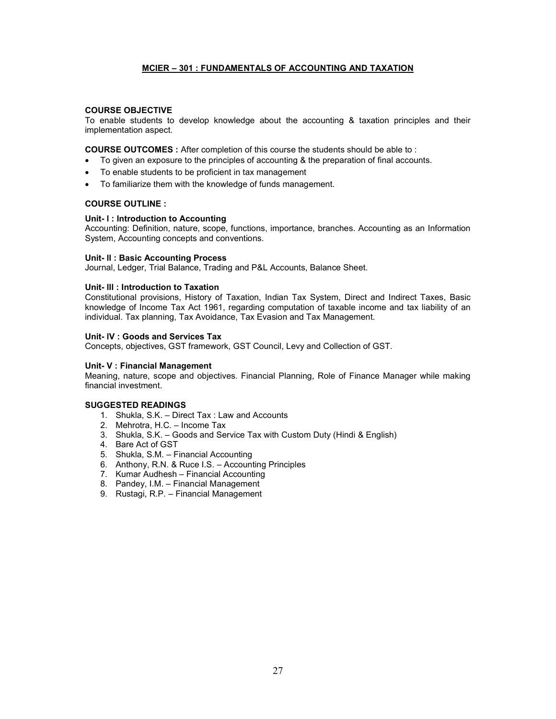## MCIER – 301 : FUNDAMENTALS OF ACCOUNTING AND TAXATION

## COURSE OBJECTIVE

To enable students to develop knowledge about the accounting & taxation principles and their implementation aspect.

COURSE OUTCOMES : After completion of this course the students should be able to :

- To given an exposure to the principles of accounting & the preparation of final accounts.
- To enable students to be proficient in tax management
- To familiarize them with the knowledge of funds management.

## COURSE OUTLINE :

## Unit- l : Introduction to Accounting

Accounting: Definition, nature, scope, functions, importance, branches. Accounting as an Information System, Accounting concepts and conventions.

## Unit- ll : Basic Accounting Process

Journal, Ledger, Trial Balance, Trading and P&L Accounts, Balance Sheet.

## Unit- lll : Introduction to Taxation

Constitutional provisions, History of Taxation, Indian Tax System, Direct and Indirect Taxes, Basic knowledge of Income Tax Act 1961, regarding computation of taxable income and tax liability of an individual. Tax planning, Tax Avoidance, Tax Evasion and Tax Management.

## Unit- lV : Goods and Services Tax

Concepts, objectives, GST framework, GST Council, Levy and Collection of GST.

## Unit- V : Financial Management

Meaning, nature, scope and objectives. Financial Planning, Role of Finance Manager while making financial investment.

- 1. Shukla, S.K. Direct Tax : Law and Accounts
- 2. Mehrotra, H.C. Income Tax
- 3. Shukla, S.K. Goods and Service Tax with Custom Duty (Hindi & English)
- 4. Bare Act of GST
- 5. Shukla, S.M. Financial Accounting
- 6. Anthony, R.N. & Ruce I.S. Accounting Principles
- 7. Kumar Audhesh Financial Accounting
- 8. Pandey, I.M. Financial Management
- 9. Rustagi, R.P. Financial Management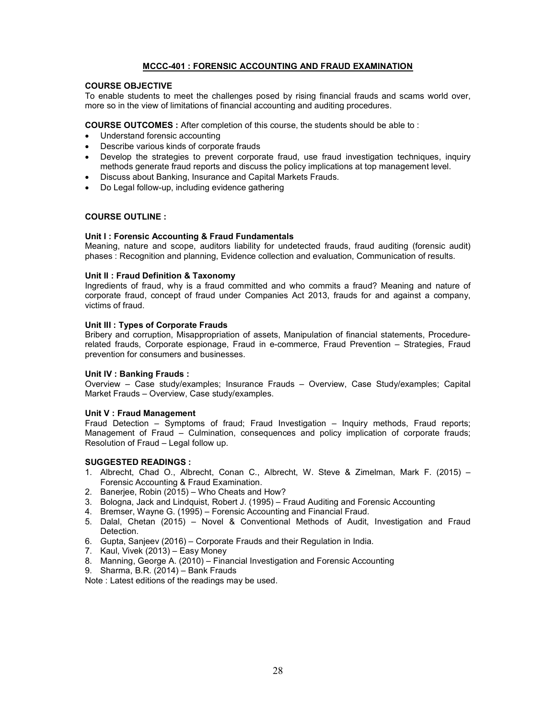## MCCC-401 : FORENSIC ACCOUNTING AND FRAUD EXAMINATION

## COURSE OBJECTIVE

To enable students to meet the challenges posed by rising financial frauds and scams world over, more so in the view of limitations of financial accounting and auditing procedures.

COURSE OUTCOMES : After completion of this course, the students should be able to :

- Understand forensic accounting
- Describe various kinds of corporate frauds
- Develop the strategies to prevent corporate fraud, use fraud investigation techniques, inquiry methods generate fraud reports and discuss the policy implications at top management level.
- Discuss about Banking, Insurance and Capital Markets Frauds.
- Do Legal follow-up, including evidence gathering

## COURSE OUTLINE :

## Unit I : Forensic Accounting & Fraud Fundamentals

Meaning, nature and scope, auditors liability for undetected frauds, fraud auditing (forensic audit) phases : Recognition and planning, Evidence collection and evaluation, Communication of results.

#### Unit II : Fraud Definition & Taxonomy

Ingredients of fraud, why is a fraud committed and who commits a fraud? Meaning and nature of corporate fraud, concept of fraud under Companies Act 2013, frauds for and against a company, victims of fraud.

## Unit III : Types of Corporate Frauds

Bribery and corruption, Misappropriation of assets, Manipulation of financial statements, Procedurerelated frauds, Corporate espionage, Fraud in e-commerce, Fraud Prevention – Strategies, Fraud prevention for consumers and businesses.

## Unit IV : Banking Frauds :

Overview – Case study/examples; Insurance Frauds – Overview, Case Study/examples; Capital Market Frauds – Overview, Case study/examples.

## Unit V : Fraud Management

Fraud Detection – Symptoms of fraud; Fraud Investigation – Inquiry methods, Fraud reports; Management of Fraud – Culmination, consequences and policy implication of corporate frauds; Resolution of Fraud – Legal follow up.

## SUGGESTED READINGS :

- 1. Albrecht, Chad O., Albrecht, Conan C., Albrecht, W. Steve & Zimelman, Mark F. (2015) Forensic Accounting & Fraud Examination.
- 2. Banerjee, Robin (2015) Who Cheats and How?
- 3. Bologna, Jack and Lindquist, Robert J. (1995) Fraud Auditing and Forensic Accounting
- 4. Bremser, Wayne G. (1995) Forensic Accounting and Financial Fraud.
- 5. Dalal, Chetan (2015) Novel & Conventional Methods of Audit, Investigation and Fraud Detection.
- 6. Gupta, Sanjeev (2016) Corporate Frauds and their Regulation in India.
- 7. Kaul, Vivek (2013) Easy Money
- 8. Manning, George A. (2010) Financial Investigation and Forensic Accounting
- 9. Sharma, B.R. (2014) Bank Frauds

Note : Latest editions of the readings may be used.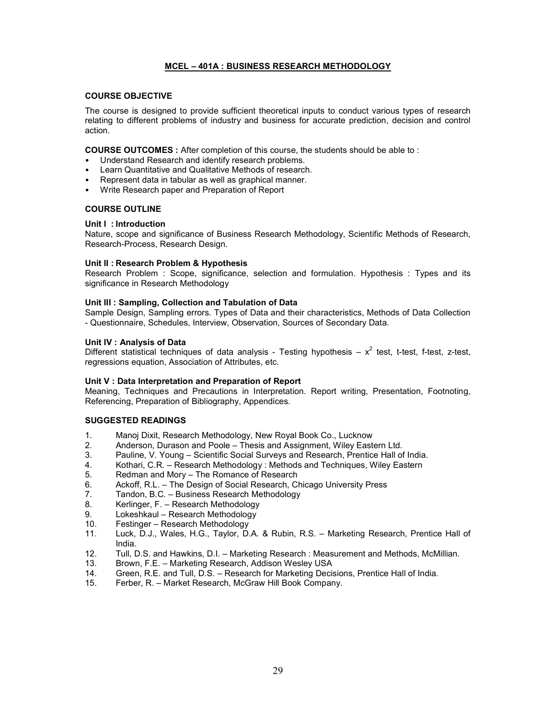## MCEL – 401A : BUSINESS RESEARCH METHODOLOGY

#### COURSE OBJECTIVE

The course is designed to provide sufficient theoretical inputs to conduct various types of research relating to different problems of industry and business for accurate prediction, decision and control action.

COURSE OUTCOMES : After completion of this course, the students should be able to :

- Understand Research and identify research problems.
- Learn Quantitative and Qualitative Methods of research.
- Represent data in tabular as well as graphical manner.
- Write Research paper and Preparation of Report

## COURSE OUTLINE

## Unit I : Introduction

Nature, scope and significance of Business Research Methodology, Scientific Methods of Research, Research-Process, Research Design.

## Unit II : Research Problem & Hypothesis

Research Problem : Scope, significance, selection and formulation. Hypothesis : Types and its significance in Research Methodology

## Unit III : Sampling, Collection and Tabulation of Data

Sample Design, Sampling errors. Types of Data and their characteristics, Methods of Data Collection - Questionnaire, Schedules, Interview, Observation, Sources of Secondary Data.

## Unit IV : Analysis of Data

Different statistical techniques of data analysis - Testing hypothesis  $- x^2$  test, t-test, f-test, z-test, regressions equation, Association of Attributes, etc.

## Unit V : Data Interpretation and Preparation of Report

Meaning, Techniques and Precautions in Interpretation. Report writing, Presentation, Footnoting, Referencing, Preparation of Bibliography, Appendices.

- 1. Manoj Dixit, Research Methodology, New Royal Book Co., Lucknow
- 2. Anderson, Durason and Poole Thesis and Assignment, Wiley Eastern Ltd.
- 3. Pauline, V. Young Scientific Social Surveys and Research, Prentice Hall of India.
- 4. Kothari, C.R. Research Methodology : Methods and Techniques, Wiley Eastern
- 5. Redman and Mory The Romance of Research<br>6. Ackoff. R.L. The Design of Social Research. C
- Ackoff, R.L. The Design of Social Research, Chicago University Press
- 7. Tandon, B.C. Business Research Methodology<br>8. Kerlinger E. Research Methodology
- Kerlinger, F. Research Methodology
- 9. Lokeshkaul Research Methodology<br>10. Festinger Research Methodology
- Festinger Research Methodology
- 11. Luck, D.J., Wales, H.G., Taylor, D.A. & Rubin, R.S. Marketing Research, Prentice Hall of India.
- 12. Tull, D.S. and Hawkins, D.I. Marketing Research : Measurement and Methods, McMillian.
- 13. Brown, F.E. Marketing Research, Addison Wesley USA
- 14. Green, R.E. and Tull, D.S. Research for Marketing Decisions, Prentice Hall of India.
- 15. Ferber, R. Market Research, McGraw Hill Book Company.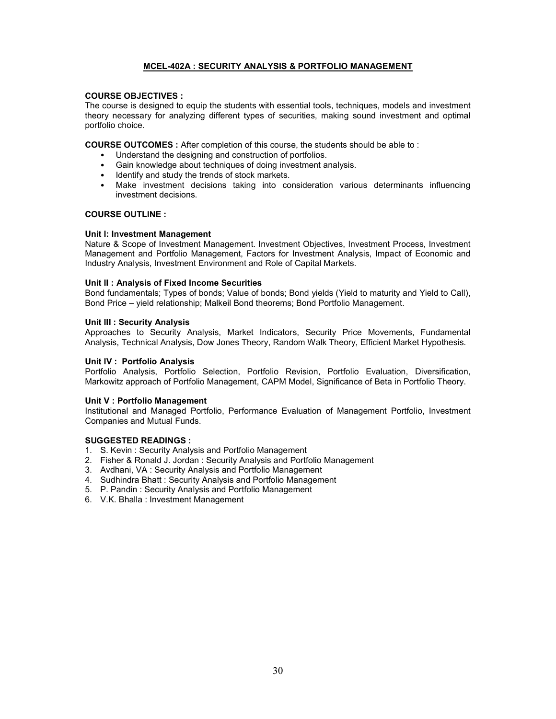## MCEL-402A : SECURITY ANALYSIS & PORTFOLIO MANAGEMENT

## COURSE OBJECTIVES :

The course is designed to equip the students with essential tools, techniques, models and investment theory necessary for analyzing different types of securities, making sound investment and optimal portfolio choice.

COURSE OUTCOMES : After completion of this course, the students should be able to :

- Understand the designing and construction of portfolios.
- Gain knowledge about techniques of doing investment analysis.
- Identify and study the trends of stock markets.
- Make investment decisions taking into consideration various determinants influencing investment decisions.

#### COURSE OUTLINE :

#### Unit I: Investment Management

Nature & Scope of Investment Management. Investment Objectives, Investment Process, Investment Management and Portfolio Management, Factors for Investment Analysis, Impact of Economic and Industry Analysis, Investment Environment and Role of Capital Markets.

#### Unit II : Analysis of Fixed Income Securities

Bond fundamentals; Types of bonds; Value of bonds; Bond yields (Yield to maturity and Yield to Call), Bond Price – yield relationship; Malkeil Bond theorems; Bond Portfolio Management.

#### Unit III : Security Analysis

Approaches to Security Analysis, Market Indicators, Security Price Movements, Fundamental Analysis, Technical Analysis, Dow Jones Theory, Random Walk Theory, Efficient Market Hypothesis.

#### Unit IV : Portfolio Analysis

Portfolio Analysis, Portfolio Selection, Portfolio Revision, Portfolio Evaluation, Diversification, Markowitz approach of Portfolio Management, CAPM Model, Significance of Beta in Portfolio Theory.

#### Unit V : Portfolio Management

Institutional and Managed Portfolio, Performance Evaluation of Management Portfolio, Investment Companies and Mutual Funds.

- 1. S. Kevin : Security Analysis and Portfolio Management
- 2. Fisher & Ronald J. Jordan : Security Analysis and Portfolio Management
- 3. Avdhani, VA : Security Analysis and Portfolio Management
- 4. Sudhindra Bhatt : Security Analysis and Portfolio Management
- 5. P. Pandin : Security Analysis and Portfolio Management
- 6. V.K. Bhalla : Investment Management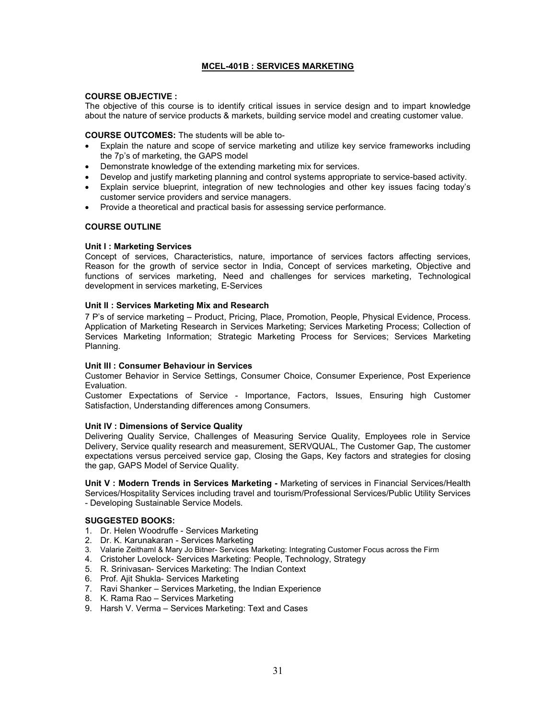## MCEL-401B : SERVICES MARKETING

## COURSE OBJECTIVE :

The objective of this course is to identify critical issues in service design and to impart knowledge about the nature of service products & markets, building service model and creating customer value.

## COURSE OUTCOMES: The students will be able to-

- Explain the nature and scope of service marketing and utilize key service frameworks including the 7p's of marketing, the GAPS model
- Demonstrate knowledge of the extending marketing mix for services.
- Develop and justify marketing planning and control systems appropriate to service-based activity.
- Explain service blueprint, integration of new technologies and other key issues facing today's customer service providers and service managers.
- Provide a theoretical and practical basis for assessing service performance.

## COURSE OUTLINE

## Unit I : Marketing Services

Concept of services, Characteristics, nature, importance of services factors affecting services, Reason for the growth of service sector in India, Concept of services marketing, Objective and functions of services marketing, Need and challenges for services marketing, Technological development in services marketing, E-Services

## Unit II : Services Marketing Mix and Research

7 P's of service marketing – Product, Pricing, Place, Promotion, People, Physical Evidence, Process. Application of Marketing Research in Services Marketing; Services Marketing Process; Collection of Services Marketing Information; Strategic Marketing Process for Services; Services Marketing Planning.

## Unit III : Consumer Behaviour in Services

Customer Behavior in Service Settings, Consumer Choice, Consumer Experience, Post Experience Evaluation.

Customer Expectations of Service - Importance, Factors, Issues, Ensuring high Customer Satisfaction, Understanding differences among Consumers.

## Unit IV : Dimensions of Service Quality

Delivering Quality Service, Challenges of Measuring Service Quality, Employees role in Service Delivery, Service quality research and measurement, SERVQUAL, The Customer Gap, The customer expectations versus perceived service gap, Closing the Gaps, Key factors and strategies for closing the gap, GAPS Model of Service Quality.

Unit V : Modern Trends in Services Marketing - Marketing of services in Financial Services/Health Services/Hospitality Services including travel and tourism/Professional Services/Public Utility Services - Developing Sustainable Service Models.

## SUGGESTED BOOKS:

- 1. Dr. Helen Woodruffe Services Marketing
- 2. Dr. K. Karunakaran Services Marketing
- 3. Valarie Zeithaml & Mary Jo Bitner- Services Marketing: Integrating Customer Focus across the Firm
- 4. Cristoher Lovelock- Services Marketing: People, Technology, Strategy
- 5. R. Srinivasan- Services Marketing: The Indian Context
- 6. Prof. Ajit Shukla- Services Marketing
- 7. Ravi Shanker Services Marketing, the Indian Experience
- 8. K. Rama Rao Services Marketing
- 9. Harsh V. Verma Services Marketing: Text and Cases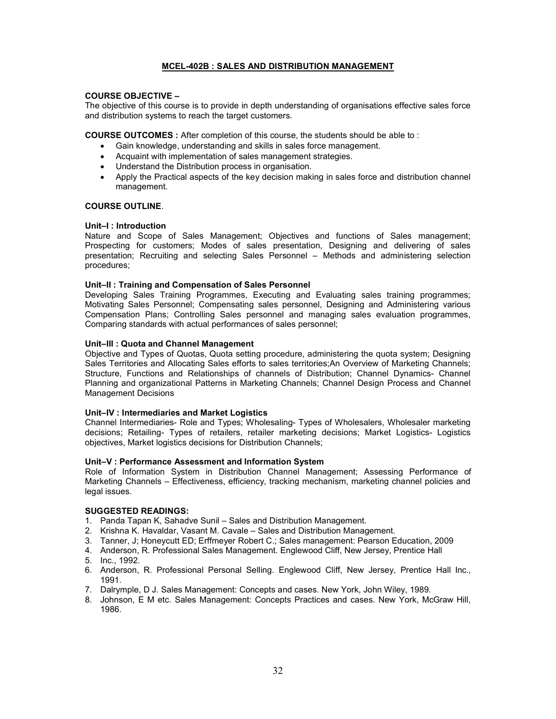## MCEL-402B : SALES AND DISTRIBUTION MANAGEMENT

## COURSE OBJECTIVE –

The objective of this course is to provide in depth understanding of organisations effective sales force and distribution systems to reach the target customers.

COURSE OUTCOMES : After completion of this course, the students should be able to :

- Gain knowledge, understanding and skills in sales force management.
- Acquaint with implementation of sales management strategies.
- Understand the Distribution process in organisation.
- Apply the Practical aspects of the key decision making in sales force and distribution channel management.

## COURSE OUTLINE.

#### Unit–I : Introduction

Nature and Scope of Sales Management; Objectives and functions of Sales management; Prospecting for customers; Modes of sales presentation, Designing and delivering of sales presentation; Recruiting and selecting Sales Personnel – Methods and administering selection procedures;

## Unit–II : Training and Compensation of Sales Personnel

Developing Sales Training Programmes, Executing and Evaluating sales training programmes; Motivating Sales Personnel; Compensating sales personnel, Designing and Administering various Compensation Plans; Controlling Sales personnel and managing sales evaluation programmes, Comparing standards with actual performances of sales personnel;

#### Unit–III : Quota and Channel Management

Objective and Types of Quotas, Quota setting procedure, administering the quota system; Designing Sales Territories and Allocating Sales efforts to sales territories;An Overview of Marketing Channels; Structure, Functions and Relationships of channels of Distribution; Channel Dynamics- Channel Planning and organizational Patterns in Marketing Channels; Channel Design Process and Channel Management Decisions

#### Unit–IV : Intermediaries and Market Logistics

Channel Intermediaries- Role and Types; Wholesaling- Types of Wholesalers, Wholesaler marketing decisions; Retailing- Types of retailers, retailer marketing decisions; Market Logistics- Logistics objectives, Market logistics decisions for Distribution Channels;

## Unit–V : Performance Assessment and Information System

Role of Information System in Distribution Channel Management; Assessing Performance of Marketing Channels – Effectiveness, efficiency, tracking mechanism, marketing channel policies and legal issues.

- 1. Panda Tapan K, Sahadve Sunil Sales and Distribution Management.
- 2. Krishna K. Havaldar, Vasant M. Cavale Sales and Distribution Management.
- 3. Tanner, J; Honeycutt ED; Erffmeyer Robert C.; Sales management: Pearson Education, 2009
- 4. Anderson, R. Professional Sales Management. Englewood Cliff, New Jersey, Prentice Hall
- 5. Inc., 1992.
- 6. Anderson, R. Professional Personal Selling. Englewood Cliff, New Jersey, Prentice Hall Inc., 1991.
- 7. Dalrymple, D J. Sales Management: Concepts and cases. New York, John Wiley, 1989.
- 8. Johnson, E M etc. Sales Management: Concepts Practices and cases. New York, McGraw Hill, 1986.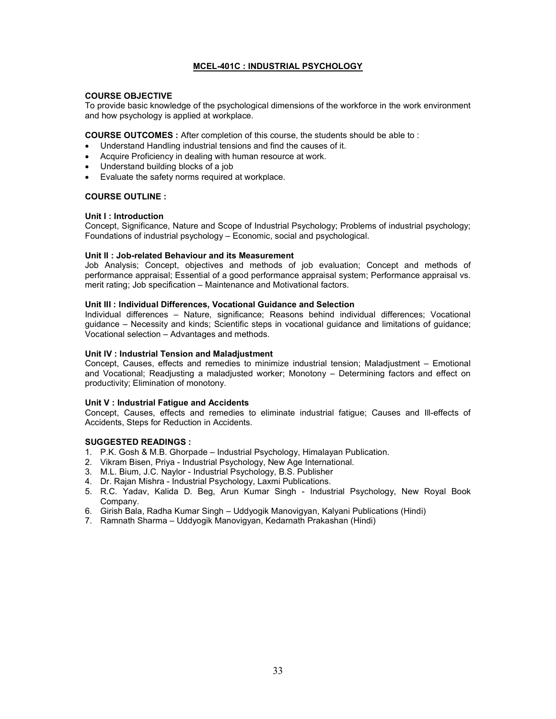## MCEL-401C : INDUSTRIAL PSYCHOLOGY

## COURSE OBJECTIVE

To provide basic knowledge of the psychological dimensions of the workforce in the work environment and how psychology is applied at workplace.

COURSE OUTCOMES : After completion of this course, the students should be able to :

- Understand Handling industrial tensions and find the causes of it.
- Acquire Proficiency in dealing with human resource at work.
- Understand building blocks of a job
- Evaluate the safety norms required at workplace.

## COURSE OUTLINE :

## Unit I : Introduction

Concept, Significance, Nature and Scope of Industrial Psychology; Problems of industrial psychology; Foundations of industrial psychology – Economic, social and psychological.

## Unit II : Job-related Behaviour and its Measurement

Job Analysis; Concept, objectives and methods of job evaluation; Concept and methods of performance appraisal; Essential of a good performance appraisal system; Performance appraisal vs. merit rating; Job specification – Maintenance and Motivational factors.

## Unit III : Individual Differences, Vocational Guidance and Selection

Individual differences – Nature, significance; Reasons behind individual differences; Vocational guidance – Necessity and kinds; Scientific steps in vocational guidance and limitations of guidance; Vocational selection – Advantages and methods.

## Unit IV : Industrial Tension and Maladjustment

Concept, Causes, effects and remedies to minimize industrial tension; Maladjustment – Emotional and Vocational; Readjusting a maladjusted worker; Monotony – Determining factors and effect on productivity; Elimination of monotony.

## Unit V : Industrial Fatigue and Accidents

Concept, Causes, effects and remedies to eliminate industrial fatigue; Causes and Ill-effects of Accidents, Steps for Reduction in Accidents.

- 1. P.K. Gosh & M.B. Ghorpade Industrial Psychology, Himalayan Publication.
- 2. Vikram Bisen, Priya Industrial Psychology, New Age International.
- 3. M.L. Bium, J.C. Naylor Industrial Psychology, B.S. Publisher
- 4. Dr. Rajan Mishra Industrial Psychology, Laxmi Publications.
- 5. R.C. Yadav, Kalida D. Beg, Arun Kumar Singh Industrial Psychology, New Royal Book Company.
- 6. Girish Bala, Radha Kumar Singh Uddyogik Manovigyan, Kalyani Publications (Hindi)
- 7. Ramnath Sharma Uddyogik Manovigyan, Kedarnath Prakashan (Hindi)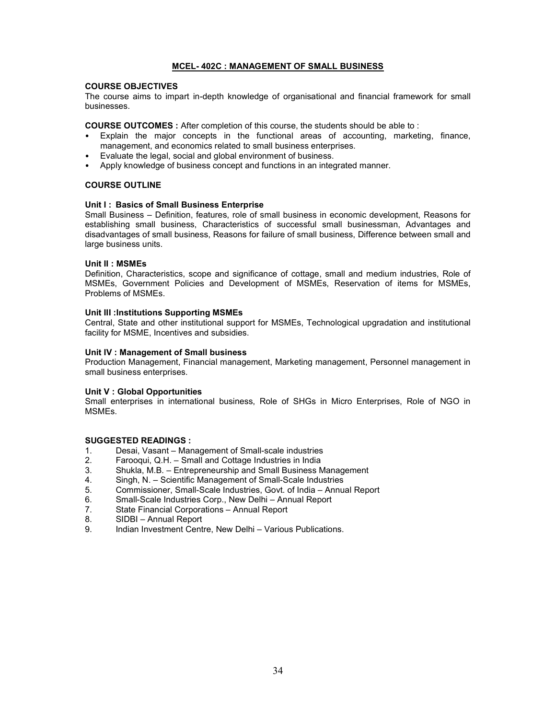## MCEL- 402C : MANAGEMENT OF SMALL BUSINESS

## COURSE OBJECTIVES

The course aims to impart in-depth knowledge of organisational and financial framework for small businesses.

COURSE OUTCOMES : After completion of this course, the students should be able to :

- Explain the major concepts in the functional areas of accounting, marketing, finance, management, and economics related to small business enterprises.
- Evaluate the legal, social and global environment of business.
- Apply knowledge of business concept and functions in an integrated manner.

## COURSE OUTLINE

## Unit I: Basics of Small Business Enterprise

Small Business – Definition, features, role of small business in economic development, Reasons for establishing small business, Characteristics of successful small businessman, Advantages and disadvantages of small business, Reasons for failure of small business, Difference between small and large business units.

#### Unit II : MSMEs

Definition, Characteristics, scope and significance of cottage, small and medium industries, Role of MSMEs, Government Policies and Development of MSMEs, Reservation of items for MSMEs, Problems of MSMEs.

#### Unit III :Institutions Supporting MSMEs

Central, State and other institutional support for MSMEs, Technological upgradation and institutional facility for MSME, Incentives and subsidies.

#### Unit IV : Management of Small business

Production Management, Financial management, Marketing management, Personnel management in small business enterprises.

## Unit V : Global Opportunities

Small enterprises in international business, Role of SHGs in Micro Enterprises, Role of NGO in MSMEs.

- 1. Desai, Vasant Management of Small-scale industries
- 2. Farooqui, Q.H. Small and Cottage Industries in India
- 3. Shukla, M.B. Entrepreneurship and Small Business Management
- Singh, N. Scientific Management of Small-Scale Industries
- 5. Commissioner, Small-Scale Industries, Govt. of India Annual Report
- 6. Small-Scale Industries Corp., New Delhi Annual Report
- 7. State Financial Corporations Annual Report
- 8. SIDBI Annual Report
- 9. Indian Investment Centre, New Delhi Various Publications.